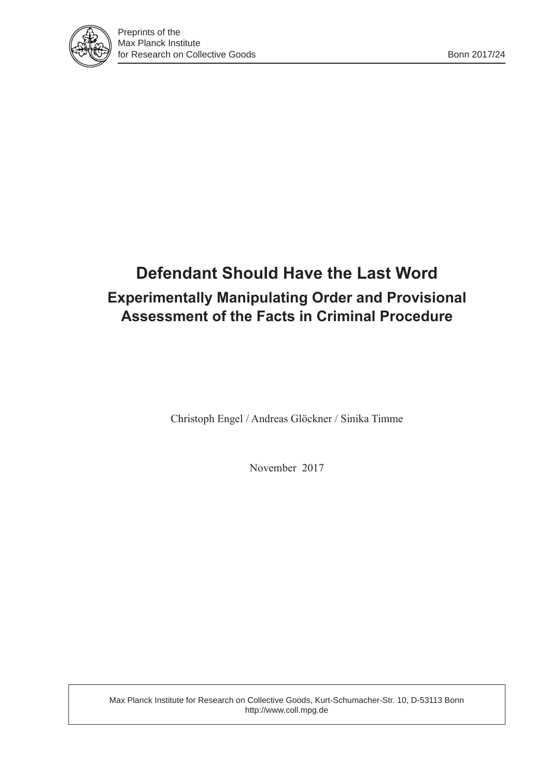

# **Defendant Should Have the Last Word Experimentally Manipulating Order and Provisional Assessment of the Facts in Criminal Procedure**

Christoph Engel / Andreas Glöckner / Sinika Timme

November 2017

Max Planck Institute for Research on Collective Goods, Kurt-Schumacher-Str. 10, D-53113 Bonn http://www.coll.mpg.de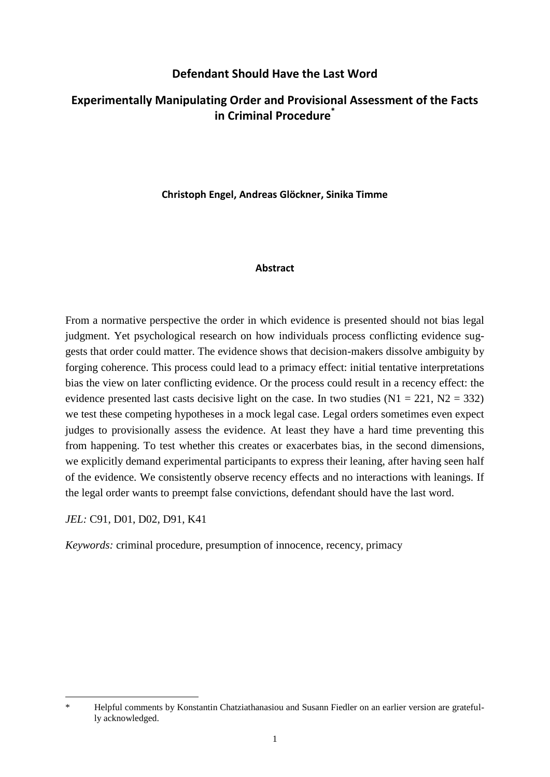# **Defendant Should Have the Last Word**

# **Experimentally Manipulating Order and Provisional Assessment of the Facts in Criminal Procedure\***

**Christoph Engel, Andreas Glöckner, Sinika Timme**

#### **Abstract**

From a normative perspective the order in which evidence is presented should not bias legal judgment. Yet psychological research on how individuals process conflicting evidence suggests that order could matter. The evidence shows that decision-makers dissolve ambiguity by forging coherence. This process could lead to a primacy effect: initial tentative interpretations bias the view on later conflicting evidence. Or the process could result in a recency effect: the evidence presented last casts decisive light on the case. In two studies  $(N1 = 221, N2 = 332)$ we test these competing hypotheses in a mock legal case. Legal orders sometimes even expect judges to provisionally assess the evidence. At least they have a hard time preventing this from happening. To test whether this creates or exacerbates bias, in the second dimensions, we explicitly demand experimental participants to express their leaning, after having seen half of the evidence. We consistently observe recency effects and no interactions with leanings. If the legal order wants to preempt false convictions, defendant should have the last word.

*JEL:* C91, D01, D02, D91, K41

-

*Keywords:* criminal procedure, presumption of innocence, recency, primacy

<sup>\*</sup> Helpful comments by Konstantin Chatziathanasiou and Susann Fiedler on an earlier version are gratefully acknowledged.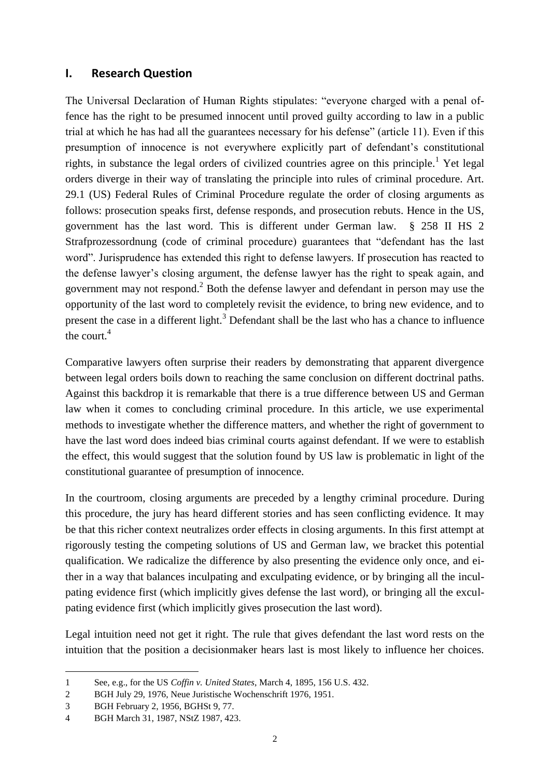# **I. Research Question**

The Universal Declaration of Human Rights stipulates: "everyone charged with a penal offence has the right to be presumed innocent until proved guilty according to law in a public trial at which he has had all the guarantees necessary for his defense" (article 11). Even if this presumption of innocence is not everywhere explicitly part of defendant's constitutional rights, in substance the legal orders of civilized countries agree on this principle.<sup>1</sup> Yet legal orders diverge in their way of translating the principle into rules of criminal procedure. Art. 29.1 (US) Federal Rules of Criminal Procedure regulate the order of closing arguments as follows: prosecution speaks first, defense responds, and prosecution rebuts. Hence in the US, government has the last word. This is different under German law. § 258 II HS 2 Strafprozessordnung (code of criminal procedure) guarantees that "defendant has the last word". Jurisprudence has extended this right to defense lawyers. If prosecution has reacted to the defense lawyer's closing argument, the defense lawyer has the right to speak again, and government may not respond.<sup>2</sup> Both the defense lawyer and defendant in person may use the opportunity of the last word to completely revisit the evidence, to bring new evidence, and to present the case in a different light.<sup>3</sup> Defendant shall be the last who has a chance to influence the court.<sup>4</sup>

Comparative lawyers often surprise their readers by demonstrating that apparent divergence between legal orders boils down to reaching the same conclusion on different doctrinal paths. Against this backdrop it is remarkable that there is a true difference between US and German law when it comes to concluding criminal procedure. In this article, we use experimental methods to investigate whether the difference matters, and whether the right of government to have the last word does indeed bias criminal courts against defendant. If we were to establish the effect, this would suggest that the solution found by US law is problematic in light of the constitutional guarantee of presumption of innocence.

In the courtroom, closing arguments are preceded by a lengthy criminal procedure. During this procedure, the jury has heard different stories and has seen conflicting evidence. It may be that this richer context neutralizes order effects in closing arguments. In this first attempt at rigorously testing the competing solutions of US and German law, we bracket this potential qualification. We radicalize the difference by also presenting the evidence only once, and either in a way that balances inculpating and exculpating evidence, or by bringing all the inculpating evidence first (which implicitly gives defense the last word), or bringing all the exculpating evidence first (which implicitly gives prosecution the last word).

Legal intuition need not get it right. The rule that gives defendant the last word rests on the intuition that the position a decisionmaker hears last is most likely to influence her choices.

<sup>-</sup>1 See, e.g., for the US *Coffin v. United States*, March 4, 1895, 156 U.S. 432.

<sup>2</sup> BGH July 29, 1976, Neue Juristische Wochenschrift 1976, 1951.

<sup>3</sup> BGH February 2, 1956, BGHSt 9, 77.

<sup>4</sup> BGH March 31, 1987, NStZ 1987, 423.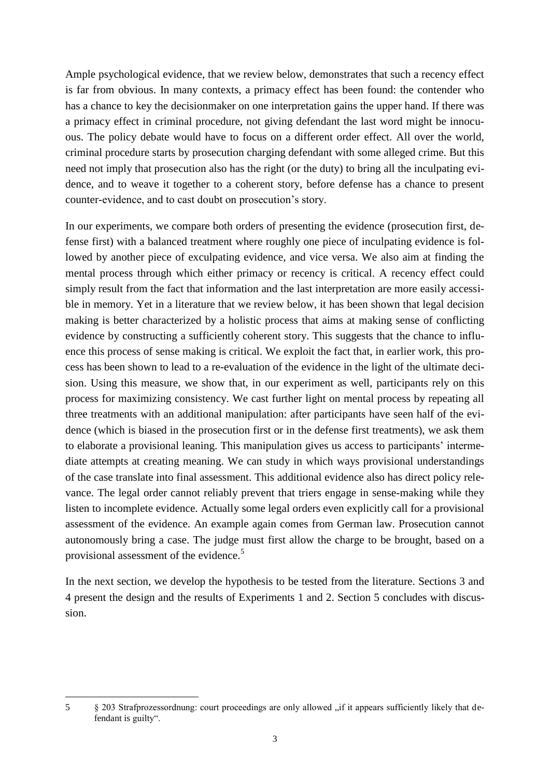Ample psychological evidence, that we review below, demonstrates that such a recency effect is far from obvious. In many contexts, a primacy effect has been found: the contender who has a chance to key the decisionmaker on one interpretation gains the upper hand. If there was a primacy effect in criminal procedure, not giving defendant the last word might be innocuous. The policy debate would have to focus on a different order effect. All over the world, criminal procedure starts by prosecution charging defendant with some alleged crime. But this need not imply that prosecution also has the right (or the duty) to bring all the inculpating evidence, and to weave it together to a coherent story, before defense has a chance to present counter-evidence, and to cast doubt on prosecution's story.

In our experiments, we compare both orders of presenting the evidence (prosecution first, defense first) with a balanced treatment where roughly one piece of inculpating evidence is followed by another piece of exculpating evidence, and vice versa. We also aim at finding the mental process through which either primacy or recency is critical. A recency effect could simply result from the fact that information and the last interpretation are more easily accessible in memory. Yet in a literature that we review below, it has been shown that legal decision making is better characterized by a holistic process that aims at making sense of conflicting evidence by constructing a sufficiently coherent story. This suggests that the chance to influence this process of sense making is critical. We exploit the fact that, in earlier work, this process has been shown to lead to a re-evaluation of the evidence in the light of the ultimate decision. Using this measure, we show that, in our experiment as well, participants rely on this process for maximizing consistency. We cast further light on mental process by repeating all three treatments with an additional manipulation: after participants have seen half of the evidence (which is biased in the prosecution first or in the defense first treatments), we ask them to elaborate a provisional leaning. This manipulation gives us access to participants' intermediate attempts at creating meaning. We can study in which ways provisional understandings of the case translate into final assessment. This additional evidence also has direct policy relevance. The legal order cannot reliably prevent that triers engage in sense-making while they listen to incomplete evidence. Actually some legal orders even explicitly call for a provisional assessment of the evidence. An example again comes from German law. Prosecution cannot autonomously bring a case. The judge must first allow the charge to be brought, based on a provisional assessment of the evidence.<sup>5</sup>

In the next section, we develop the hypothesis to be tested from the literature. Sections 3 and 4 present the design and the results of Experiments 1 and 2. Section 5 concludes with discussion.

5 § 203 Strafprozessordnung: court proceedings are only allowed "if it appears sufficiently likely that defendant is guilty".

-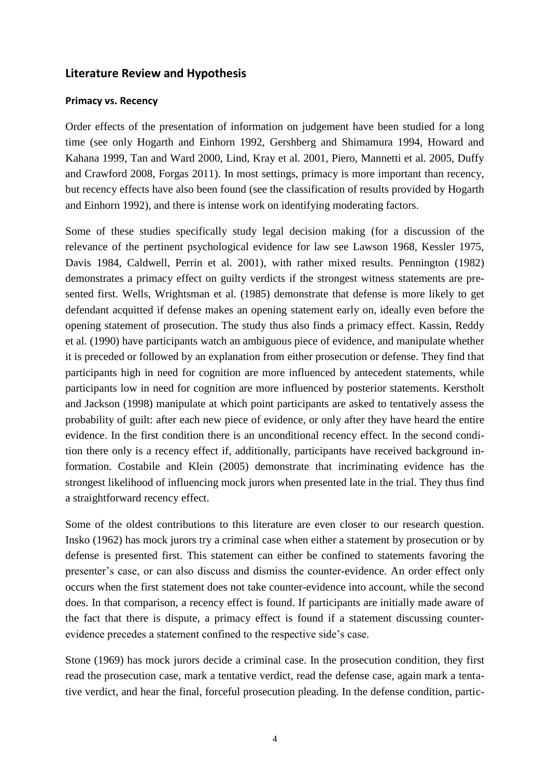# **Literature Review and Hypothesis**

#### **Primacy vs. Recency**

Order effects of the presentation of information on judgement have been studied for a long time (see only Hogarth and Einhorn 1992, Gershberg and Shimamura 1994, Howard and Kahana 1999, Tan and Ward 2000, Lind, Kray et al. 2001, Piero, Mannetti et al. 2005, Duffy and Crawford 2008, Forgas 2011). In most settings, primacy is more important than recency, but recency effects have also been found (see the classification of results provided by Hogarth and Einhorn 1992), and there is intense work on identifying moderating factors.

Some of these studies specifically study legal decision making (for a discussion of the relevance of the pertinent psychological evidence for law see Lawson 1968, Kessler 1975, Davis 1984, Caldwell, Perrin et al. 2001), with rather mixed results. Pennington (1982) demonstrates a primacy effect on guilty verdicts if the strongest witness statements are presented first. Wells, Wrightsman et al. (1985) demonstrate that defense is more likely to get defendant acquitted if defense makes an opening statement early on, ideally even before the opening statement of prosecution. The study thus also finds a primacy effect. Kassin, Reddy et al. (1990) have participants watch an ambiguous piece of evidence, and manipulate whether it is preceded or followed by an explanation from either prosecution or defense. They find that participants high in need for cognition are more influenced by antecedent statements, while participants low in need for cognition are more influenced by posterior statements. Kerstholt and Jackson (1998) manipulate at which point participants are asked to tentatively assess the probability of guilt: after each new piece of evidence, or only after they have heard the entire evidence. In the first condition there is an unconditional recency effect. In the second condition there only is a recency effect if, additionally, participants have received background information. Costabile and Klein (2005) demonstrate that incriminating evidence has the strongest likelihood of influencing mock jurors when presented late in the trial. They thus find a straightforward recency effect.

Some of the oldest contributions to this literature are even closer to our research question. Insko (1962) has mock jurors try a criminal case when either a statement by prosecution or by defense is presented first. This statement can either be confined to statements favoring the presenter's case, or can also discuss and dismiss the counter-evidence. An order effect only occurs when the first statement does not take counter-evidence into account, while the second does. In that comparison, a recency effect is found. If participants are initially made aware of the fact that there is dispute, a primacy effect is found if a statement discussing counterevidence precedes a statement confined to the respective side's case.

Stone (1969) has mock jurors decide a criminal case. In the prosecution condition, they first read the prosecution case, mark a tentative verdict, read the defense case, again mark a tentative verdict, and hear the final, forceful prosecution pleading. In the defense condition, partic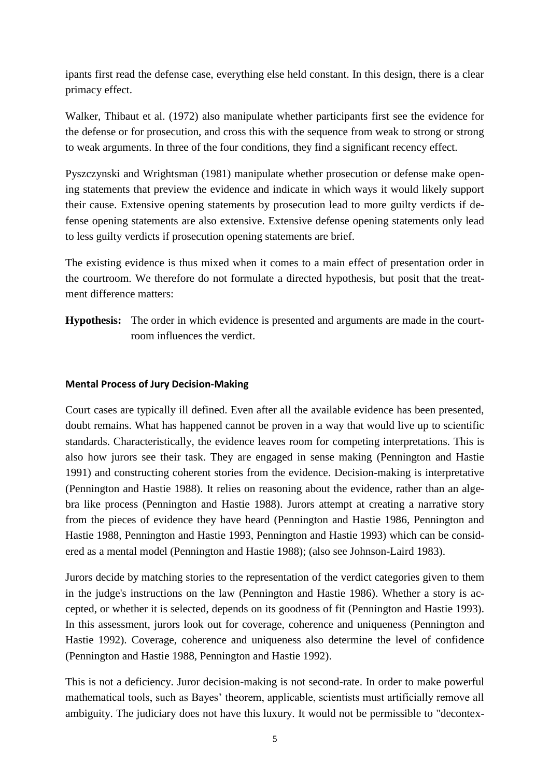ipants first read the defense case, everything else held constant. In this design, there is a clear primacy effect.

Walker, Thibaut et al. (1972) also manipulate whether participants first see the evidence for the defense or for prosecution, and cross this with the sequence from weak to strong or strong to weak arguments. In three of the four conditions, they find a significant recency effect.

Pyszczynski and Wrightsman (1981) manipulate whether prosecution or defense make opening statements that preview the evidence and indicate in which ways it would likely support their cause. Extensive opening statements by prosecution lead to more guilty verdicts if defense opening statements are also extensive. Extensive defense opening statements only lead to less guilty verdicts if prosecution opening statements are brief.

The existing evidence is thus mixed when it comes to a main effect of presentation order in the courtroom. We therefore do not formulate a directed hypothesis, but posit that the treatment difference matters:

**Hypothesis:** The order in which evidence is presented and arguments are made in the courtroom influences the verdict.

# **Mental Process of Jury Decision-Making**

Court cases are typically ill defined. Even after all the available evidence has been presented, doubt remains. What has happened cannot be proven in a way that would live up to scientific standards. Characteristically, the evidence leaves room for competing interpretations. This is also how jurors see their task. They are engaged in sense making (Pennington and Hastie 1991) and constructing coherent stories from the evidence. Decision-making is interpretative (Pennington and Hastie 1988). It relies on reasoning about the evidence, rather than an algebra like process (Pennington and Hastie 1988). Jurors attempt at creating a narrative story from the pieces of evidence they have heard (Pennington and Hastie 1986, Pennington and Hastie 1988, Pennington and Hastie 1993, Pennington and Hastie 1993) which can be considered as a mental model (Pennington and Hastie 1988); (also see Johnson-Laird 1983).

Jurors decide by matching stories to the representation of the verdict categories given to them in the judge's instructions on the law (Pennington and Hastie 1986). Whether a story is accepted, or whether it is selected, depends on its goodness of fit (Pennington and Hastie 1993). In this assessment, jurors look out for coverage, coherence and uniqueness (Pennington and Hastie 1992). Coverage, coherence and uniqueness also determine the level of confidence (Pennington and Hastie 1988, Pennington and Hastie 1992).

This is not a deficiency. Juror decision-making is not second-rate. In order to make powerful mathematical tools, such as Bayes' theorem, applicable, scientists must artificially remove all ambiguity. The judiciary does not have this luxury. It would not be permissible to "decontex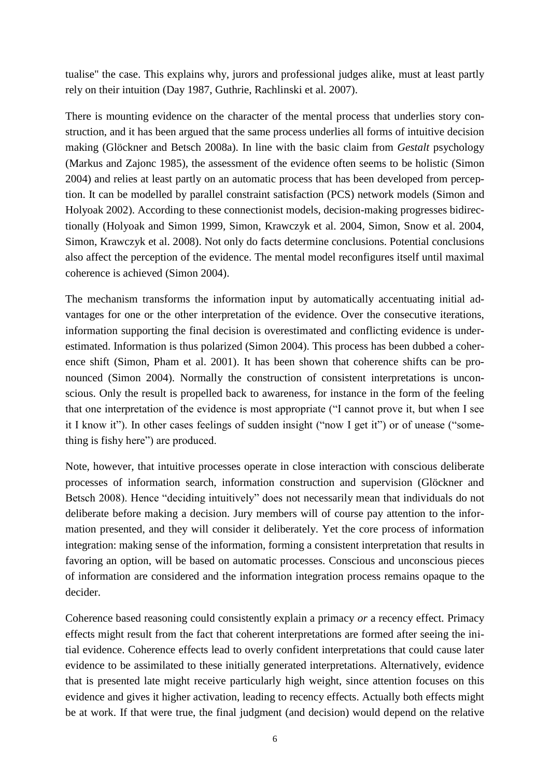tualise" the case. This explains why, jurors and professional judges alike, must at least partly rely on their intuition (Day 1987, Guthrie, Rachlinski et al. 2007).

There is mounting evidence on the character of the mental process that underlies story construction, and it has been argued that the same process underlies all forms of intuitive decision making (Glöckner and Betsch 2008a). In line with the basic claim from *Gestalt* psychology (Markus and Zajonc 1985), the assessment of the evidence often seems to be holistic (Simon 2004) and relies at least partly on an automatic process that has been developed from perception. It can be modelled by parallel constraint satisfaction (PCS) network models (Simon and Holyoak 2002). According to these connectionist models, decision-making progresses bidirectionally (Holyoak and Simon 1999, Simon, Krawczyk et al. 2004, Simon, Snow et al. 2004, Simon, Krawczyk et al. 2008). Not only do facts determine conclusions. Potential conclusions also affect the perception of the evidence. The mental model reconfigures itself until maximal coherence is achieved (Simon 2004).

The mechanism transforms the information input by automatically accentuating initial advantages for one or the other interpretation of the evidence. Over the consecutive iterations, information supporting the final decision is overestimated and conflicting evidence is underestimated. Information is thus polarized (Simon 2004). This process has been dubbed a coherence shift (Simon, Pham et al. 2001). It has been shown that coherence shifts can be pronounced (Simon 2004). Normally the construction of consistent interpretations is unconscious. Only the result is propelled back to awareness, for instance in the form of the feeling that one interpretation of the evidence is most appropriate ("I cannot prove it, but when I see it I know it"). In other cases feelings of sudden insight ("now I get it") or of unease ("something is fishy here") are produced.

Note, however, that intuitive processes operate in close interaction with conscious deliberate processes of information search, information construction and supervision (Glöckner and Betsch 2008). Hence "deciding intuitively" does not necessarily mean that individuals do not deliberate before making a decision. Jury members will of course pay attention to the information presented, and they will consider it deliberately. Yet the core process of information integration: making sense of the information, forming a consistent interpretation that results in favoring an option, will be based on automatic processes. Conscious and unconscious pieces of information are considered and the information integration process remains opaque to the decider.

Coherence based reasoning could consistently explain a primacy *or* a recency effect. Primacy effects might result from the fact that coherent interpretations are formed after seeing the initial evidence. Coherence effects lead to overly confident interpretations that could cause later evidence to be assimilated to these initially generated interpretations. Alternatively, evidence that is presented late might receive particularly high weight, since attention focuses on this evidence and gives it higher activation, leading to recency effects. Actually both effects might be at work. If that were true, the final judgment (and decision) would depend on the relative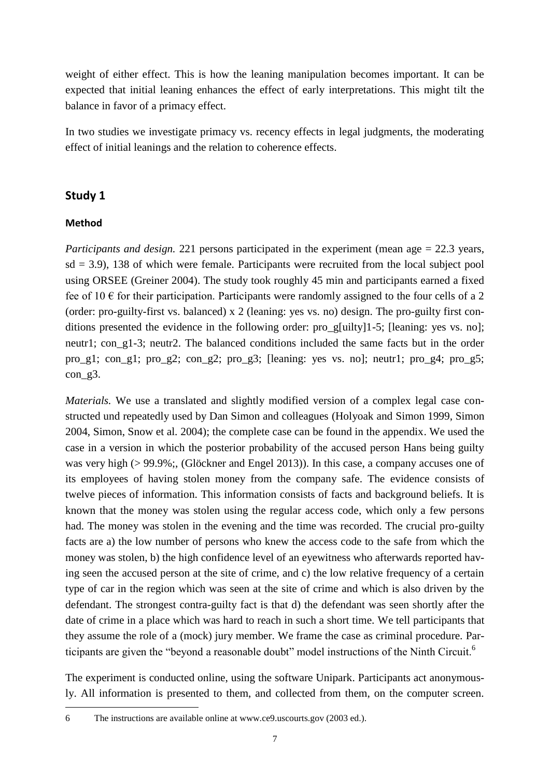weight of either effect. This is how the leaning manipulation becomes important. It can be expected that initial leaning enhances the effect of early interpretations. This might tilt the balance in favor of a primacy effect.

In two studies we investigate primacy vs. recency effects in legal judgments, the moderating effect of initial leanings and the relation to coherence effects.

# **Study 1**

# **Method**

-

*Participants and design.* 221 persons participated in the experiment (mean age = 22.3 years, sd = 3.9), 138 of which were female. Participants were recruited from the local subject pool using ORSEE (Greiner 2004). The study took roughly 45 min and participants earned a fixed fee of 10  $\epsilon$  for their participation. Participants were randomly assigned to the four cells of a 2 (order: pro-guilty-first vs. balanced) x 2 (leaning: yes vs. no) design. The pro-guilty first conditions presented the evidence in the following order: pro\_g[uilty]1-5; [leaning: yes vs. no]; neutr1; con\_g1-3; neutr2. The balanced conditions included the same facts but in the order pro\_g1; con\_g1; pro\_g2; con\_g2; pro\_g3; [leaning: yes vs. no]; neutr1; pro\_g4; pro\_g5; con g3.

*Materials.* We use a translated and slightly modified version of a complex legal case constructed und repeatedly used by Dan Simon and colleagues (Holyoak and Simon 1999, Simon 2004, Simon, Snow et al. 2004); the complete case can be found in the appendix. We used the case in a version in which the posterior probability of the accused person Hans being guilty was very high (> 99.9%;, (Glöckner and Engel 2013)). In this case, a company accuses one of its employees of having stolen money from the company safe. The evidence consists of twelve pieces of information. This information consists of facts and background beliefs. It is known that the money was stolen using the regular access code, which only a few persons had. The money was stolen in the evening and the time was recorded. The crucial pro-guilty facts are a) the low number of persons who knew the access code to the safe from which the money was stolen, b) the high confidence level of an eyewitness who afterwards reported having seen the accused person at the site of crime, and c) the low relative frequency of a certain type of car in the region which was seen at the site of crime and which is also driven by the defendant. The strongest contra-guilty fact is that d) the defendant was seen shortly after the date of crime in a place which was hard to reach in such a short time. We tell participants that they assume the role of a (mock) jury member. We frame the case as criminal procedure. Participants are given the "beyond a reasonable doubt" model instructions of the Ninth Circuit.<sup>6</sup>

The experiment is conducted online, using the software Unipark. Participants act anonymously. All information is presented to them, and collected from them, on the computer screen.

<sup>6</sup> The instructions are available online at www.ce9.uscourts.gov (2003 ed.).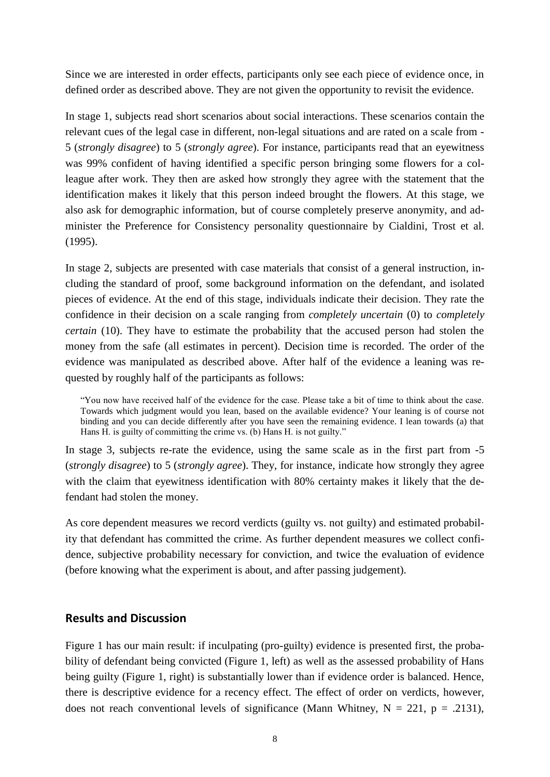Since we are interested in order effects, participants only see each piece of evidence once, in defined order as described above. They are not given the opportunity to revisit the evidence.

In stage 1, subjects read short scenarios about social interactions. These scenarios contain the relevant cues of the legal case in different, non-legal situations and are rated on a scale from - 5 (*strongly disagree*) to 5 (*strongly agree*). For instance, participants read that an eyewitness was 99% confident of having identified a specific person bringing some flowers for a colleague after work. They then are asked how strongly they agree with the statement that the identification makes it likely that this person indeed brought the flowers. At this stage, we also ask for demographic information, but of course completely preserve anonymity, and administer the Preference for Consistency personality questionnaire by Cialdini, Trost et al. (1995).

In stage 2, subjects are presented with case materials that consist of a general instruction, including the standard of proof, some background information on the defendant, and isolated pieces of evidence. At the end of this stage, individuals indicate their decision. They rate the confidence in their decision on a scale ranging from *completely uncertain* (0) to *completely certain* (10). They have to estimate the probability that the accused person had stolen the money from the safe (all estimates in percent). Decision time is recorded. The order of the evidence was manipulated as described above. After half of the evidence a leaning was requested by roughly half of the participants as follows:

"You now have received half of the evidence for the case. Please take a bit of time to think about the case. Towards which judgment would you lean, based on the available evidence? Your leaning is of course not binding and you can decide differently after you have seen the remaining evidence. I lean towards (a) that Hans H. is guilty of committing the crime vs. (b) Hans H. is not guilty."

In stage 3, subjects re-rate the evidence, using the same scale as in the first part from -5 (*strongly disagree*) to 5 (*strongly agree*). They, for instance, indicate how strongly they agree with the claim that eyewitness identification with 80% certainty makes it likely that the defendant had stolen the money.

As core dependent measures we record verdicts (guilty vs. not guilty) and estimated probability that defendant has committed the crime. As further dependent measures we collect confidence, subjective probability necessary for conviction, and twice the evaluation of evidence (before knowing what the experiment is about, and after passing judgement).

# **Results and Discussion**

[Figure 1](#page-10-0) has our main result: if inculpating (pro-guilty) evidence is presented first, the probability of defendant being convicted (Figure 1, left) as well as the assessed probability of Hans being guilty (Figure 1, right) is substantially lower than if evidence order is balanced. Hence, there is descriptive evidence for a recency effect. The effect of order on verdicts, however, does not reach conventional levels of significance (Mann Whitney,  $N = 221$ ,  $p = .2131$ ),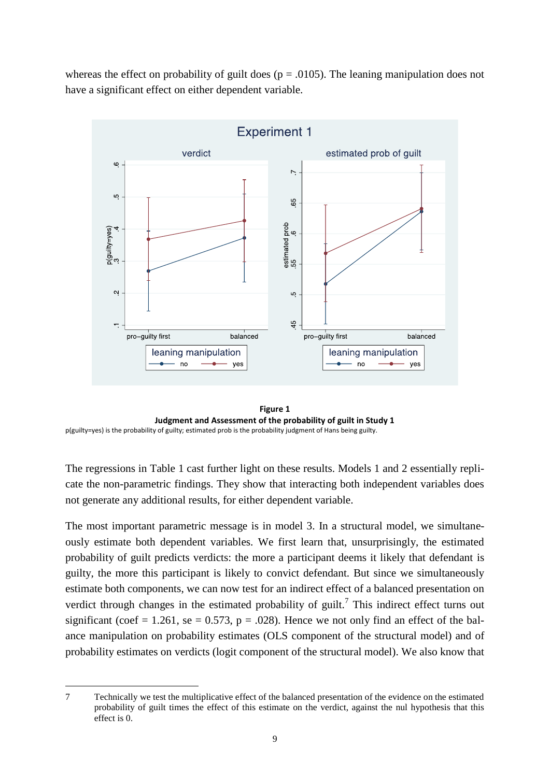whereas the effect on probability of guilt does ( $p = .0105$ ). The leaning manipulation does not have a significant effect on either dependent variable.



<span id="page-10-0"></span>

The regressions in Table 1 cast further light on these results. Models 1 and 2 essentially replicate the non-parametric findings. They show that interacting both independent variables does not generate any additional results, for either dependent variable.

The most important parametric message is in model 3. In a structural model, we simultaneously estimate both dependent variables. We first learn that, unsurprisingly, the estimated probability of guilt predicts verdicts: the more a participant deems it likely that defendant is guilty, the more this participant is likely to convict defendant. But since we simultaneously estimate both components, we can now test for an indirect effect of a balanced presentation on verdict through changes in the estimated probability of guilt.<sup>7</sup> This indirect effect turns out significant (coef = 1.261, se = 0.573, p = .028). Hence we not only find an effect of the balance manipulation on probability estimates (OLS component of the structural model) and of probability estimates on verdicts (logit component of the structural model). We also know that

-

<sup>7</sup> Technically we test the multiplicative effect of the balanced presentation of the evidence on the estimated probability of guilt times the effect of this estimate on the verdict, against the nul hypothesis that this effect is 0.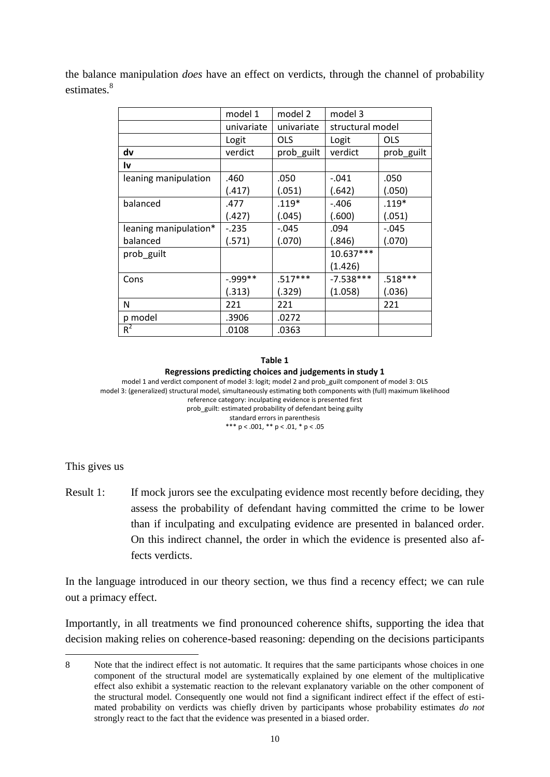the balance manipulation *does* have an effect on verdicts, through the channel of probability estimates<sup>8</sup>

|                       | model 1    | model 2    | model 3          |            |  |
|-----------------------|------------|------------|------------------|------------|--|
|                       | univariate | univariate | structural model |            |  |
|                       | Logit      | <b>OLS</b> | Logit            | <b>OLS</b> |  |
| dv                    | verdict    | prob_guilt | verdict          | prob_guilt |  |
| I۷                    |            |            |                  |            |  |
| leaning manipulation  | .460       | .050       | $-.041$          | .050       |  |
|                       | (.417)     | (.051)     | (.642)           | (.050)     |  |
| balanced              | .477       | $.119*$    | $-.406$          | $.119*$    |  |
|                       | (.427)     | (.045)     | (.600)           | (.051)     |  |
| leaning manipulation* | $-235$     | $-0.045$   | .094             | $-.045$    |  |
| balanced              | (.571)     | (.070)     | (.846)           | (.070)     |  |
| prob_guilt            |            |            | 10.637***        |            |  |
|                       |            |            | (1.426)          |            |  |
| Cons                  | $-0.999**$ | $.517***$  | $-7.538***$      | .518***    |  |
|                       | (.313)     | (.329)     | (1.058)          | (.036)     |  |
| N                     | 221        | 221        |                  | 221        |  |
| p model               | .3906      | .0272      |                  |            |  |
| $R^2$                 | .0108      | .0363      |                  |            |  |

## **Table 1**

#### **Regressions predicting choices and judgements in study 1**

model 1 and verdict component of model 3: logit; model 2 and prob\_guilt component of model 3: OLS model 3: (generalized) structural model, simultaneously estimating both components with (full) maximum likelihood reference category: inculpating evidence is presented first

prob\_guilt: estimated probability of defendant being guilty standard errors in parenthesis

\*\*\* p < .001, \*\* p < .01, \* p < .05

This gives us

-

Result 1: If mock jurors see the exculpating evidence most recently before deciding, they assess the probability of defendant having committed the crime to be lower than if inculpating and exculpating evidence are presented in balanced order. On this indirect channel, the order in which the evidence is presented also affects verdicts.

In the language introduced in our theory section, we thus find a recency effect; we can rule out a primacy effect.

Importantly, in all treatments we find pronounced coherence shifts, supporting the idea that decision making relies on coherence-based reasoning: depending on the decisions participants

<sup>8</sup> Note that the indirect effect is not automatic. It requires that the same participants whose choices in one component of the structural model are systematically explained by one element of the multiplicative effect also exhibit a systematic reaction to the relevant explanatory variable on the other component of the structural model. Consequently one would not find a significant indirect effect if the effect of estimated probability on verdicts was chiefly driven by participants whose probability estimates *do not*  strongly react to the fact that the evidence was presented in a biased order.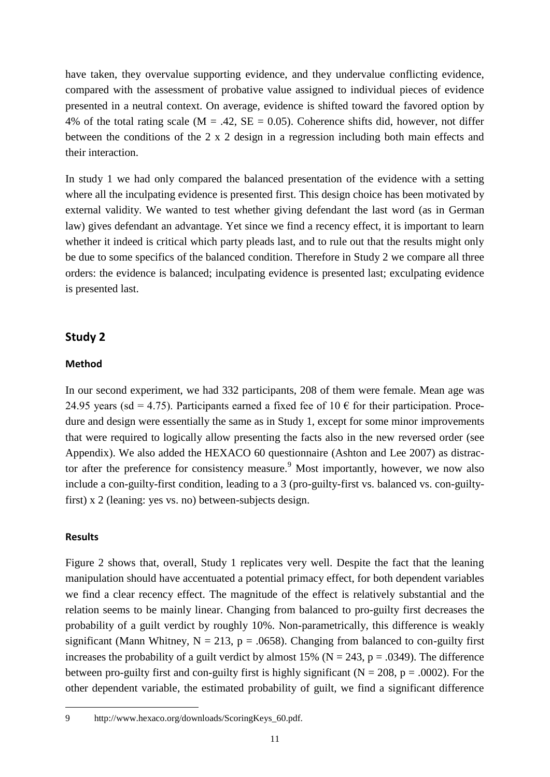have taken, they overvalue supporting evidence, and they undervalue conflicting evidence, compared with the assessment of probative value assigned to individual pieces of evidence presented in a neutral context. On average, evidence is shifted toward the favored option by 4% of the total rating scale ( $M = .42$ ,  $SE = 0.05$ ). Coherence shifts did, however, not differ between the conditions of the 2 x 2 design in a regression including both main effects and their interaction.

In study 1 we had only compared the balanced presentation of the evidence with a setting where all the inculpating evidence is presented first. This design choice has been motivated by external validity. We wanted to test whether giving defendant the last word (as in German law) gives defendant an advantage. Yet since we find a recency effect, it is important to learn whether it indeed is critical which party pleads last, and to rule out that the results might only be due to some specifics of the balanced condition. Therefore in Study 2 we compare all three orders: the evidence is balanced; inculpating evidence is presented last; exculpating evidence is presented last.

## **Study 2**

#### **Method**

In our second experiment, we had 332 participants, 208 of them were female. Mean age was 24.95 years (sd = 4.75). Participants earned a fixed fee of 10  $\epsilon$  for their participation. Procedure and design were essentially the same as in Study 1, except for some minor improvements that were required to logically allow presenting the facts also in the new reversed order (see Appendix). We also added the HEXACO 60 questionnaire (Ashton and Lee 2007) as distractor after the preference for consistency measure.<sup>9</sup> Most importantly, however, we now also include a con-guilty-first condition, leading to a 3 (pro-guilty-first vs. balanced vs. con-guiltyfirst) x 2 (leaning: yes vs. no) between-subjects design.

#### **Results**

-

[Figure 2](#page-13-0) shows that, overall, Study 1 replicates very well. Despite the fact that the leaning manipulation should have accentuated a potential primacy effect, for both dependent variables we find a clear recency effect. The magnitude of the effect is relatively substantial and the relation seems to be mainly linear. Changing from balanced to pro-guilty first decreases the probability of a guilt verdict by roughly 10%. Non-parametrically, this difference is weakly significant (Mann Whitney,  $N = 213$ ,  $p = .0658$ ). Changing from balanced to con-guilty first increases the probability of a guilt verdict by almost 15% ( $N = 243$ ,  $p = .0349$ ). The difference between pro-guilty first and con-guilty first is highly significant ( $N = 208$ ,  $p = .0002$ ). For the other dependent variable, the estimated probability of guilt, we find a significant difference

<sup>9</sup> http://www.hexaco.org/downloads/ScoringKeys\_60.pdf.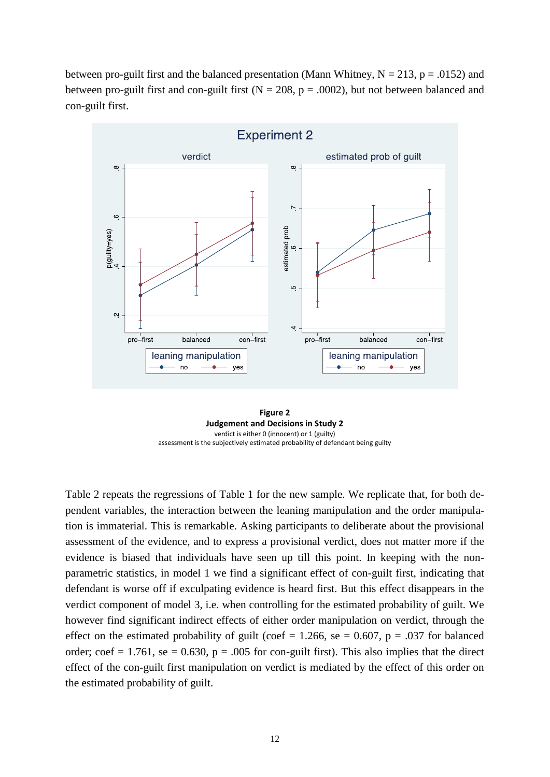between pro-guilt first and the balanced presentation (Mann Whitney,  $N = 213$ ,  $p = .0152$ ) and between pro-guilt first and con-guilt first ( $N = 208$ ,  $p = .0002$ ), but not between balanced and con-guilt first.



<span id="page-13-0"></span>

Table 2 repeats the regressions of Table 1 for the new sample. We replicate that, for both dependent variables, the interaction between the leaning manipulation and the order manipulation is immaterial. This is remarkable. Asking participants to deliberate about the provisional assessment of the evidence, and to express a provisional verdict, does not matter more if the evidence is biased that individuals have seen up till this point. In keeping with the nonparametric statistics, in model 1 we find a significant effect of con-guilt first, indicating that defendant is worse off if exculpating evidence is heard first. But this effect disappears in the verdict component of model 3, i.e. when controlling for the estimated probability of guilt. We however find significant indirect effects of either order manipulation on verdict, through the effect on the estimated probability of guilt (coef = 1.266, se = 0.607, p = .037 for balanced order; coef = 1.761, se = 0.630,  $p = .005$  for con-guilt first). This also implies that the direct effect of the con-guilt first manipulation on verdict is mediated by the effect of this order on the estimated probability of guilt.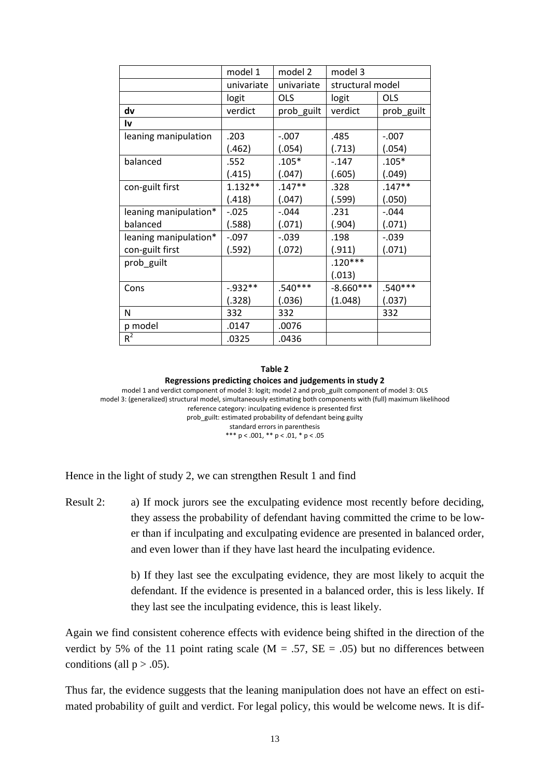|                       | model 1    | model 2    | model 3               |            |  |
|-----------------------|------------|------------|-----------------------|------------|--|
|                       | univariate | univariate | structural model      |            |  |
|                       | logit      | <b>OLS</b> | logit                 | <b>OLS</b> |  |
| dv                    | verdict    | prob_guilt | verdict<br>prob_guilt |            |  |
| l٧                    |            |            |                       |            |  |
| leaning manipulation  | .203       | $-.007$    | .485                  | $-.007$    |  |
|                       | (.462)     | (.054)     | (.713)                | (.054)     |  |
| balanced              | .552       | $.105*$    | $-147$                | $.105*$    |  |
|                       | (.415)     | (.047)     | (.605)                | (.049)     |  |
| con-guilt first       | $1.132**$  | $.147**$   | .328                  | $.147**$   |  |
|                       | (.418)     | (.047)     | (.599)                | (.050)     |  |
| leaning manipulation* | $-0.025$   | $-.044$    | .231                  | $-0.044$   |  |
| balanced              | (.588)     | (.071)     | (.904)                | (.071)     |  |
| leaning manipulation* | $-0.097$   | $-0.039$   | .198                  | $-0.039$   |  |
| con-guilt first       | (.592)     | (.072)     | (.911)                | (.071)     |  |
| prob_guilt            |            |            | $.120***$             |            |  |
|                       |            |            | (.013)                |            |  |
| Cons                  | $-0.932**$ | $.540***$  | $-8.660***$           | $.540***$  |  |
|                       | (.328)     | (.036)     | (1.048)               | (.037)     |  |
| N                     | 332        | 332        |                       | 332        |  |
| p model               | .0147      | .0076      |                       |            |  |
| $R^2$                 | .0325      | .0436      |                       |            |  |

#### **Table 2**

**Regressions predicting choices and judgements in study 2**

model 1 and verdict component of model 3: logit; model 2 and prob\_guilt component of model 3: OLS model 3: (generalized) structural model, simultaneously estimating both components with (full) maximum likelihood reference category: inculpating evidence is presented first prob\_guilt: estimated probability of defendant being guilty standard errors in parenthesis \*\*\*  $p < .001$ , \*\*  $p < .01$ , \*  $p < .05$ 

Hence in the light of study 2, we can strengthen Result 1 and find

Result 2: a) If mock jurors see the exculpating evidence most recently before deciding, they assess the probability of defendant having committed the crime to be lower than if inculpating and exculpating evidence are presented in balanced order, and even lower than if they have last heard the inculpating evidence.

> b) If they last see the exculpating evidence, they are most likely to acquit the defendant. If the evidence is presented in a balanced order, this is less likely. If they last see the inculpating evidence, this is least likely.

Again we find consistent coherence effects with evidence being shifted in the direction of the verdict by 5% of the 11 point rating scale ( $M = .57$ ,  $SE = .05$ ) but no differences between conditions (all  $p > .05$ ).

Thus far, the evidence suggests that the leaning manipulation does not have an effect on estimated probability of guilt and verdict. For legal policy, this would be welcome news. It is dif-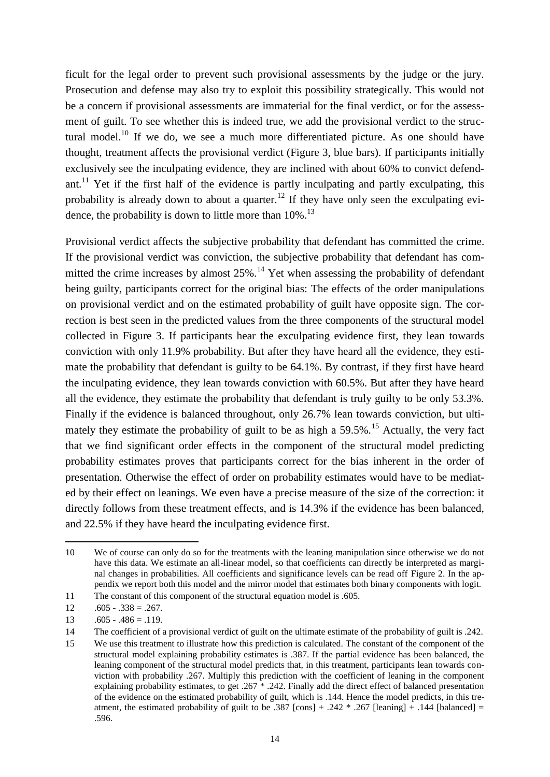ficult for the legal order to prevent such provisional assessments by the judge or the jury. Prosecution and defense may also try to exploit this possibility strategically. This would not be a concern if provisional assessments are immaterial for the final verdict, or for the assessment of guilt. To see whether this is indeed true, we add the provisional verdict to the structural model.<sup>10</sup> If we do, we see a much more differentiated picture. As one should have thought, treatment affects the provisional verdict (Figure 3, blue bars). If participants initially exclusively see the inculpating evidence, they are inclined with about 60% to convict defendant.<sup>11</sup> Yet if the first half of the evidence is partly inculpating and partly exculpating, this probability is already down to about a quarter.<sup>12</sup> If they have only seen the exculpating evidence, the probability is down to little more than  $10\%$ .<sup>13</sup>

Provisional verdict affects the subjective probability that defendant has committed the crime. If the provisional verdict was conviction, the subjective probability that defendant has committed the crime increases by almost  $25\%$ .<sup>14</sup> Yet when assessing the probability of defendant being guilty, participants correct for the original bias: The effects of the order manipulations on provisional verdict and on the estimated probability of guilt have opposite sign. The correction is best seen in the predicted values from the three components of the structural model collected in [Figure 3.](#page-17-0) If participants hear the exculpating evidence first, they lean towards conviction with only 11.9% probability. But after they have heard all the evidence, they estimate the probability that defendant is guilty to be 64.1%. By contrast, if they first have heard the inculpating evidence, they lean towards conviction with 60.5%. But after they have heard all the evidence, they estimate the probability that defendant is truly guilty to be only 53.3%. Finally if the evidence is balanced throughout, only 26.7% lean towards conviction, but ultimately they estimate the probability of guilt to be as high a  $59.5\%$ .<sup>15</sup> Actually, the very fact that we find significant order effects in the component of the structural model predicting probability estimates proves that participants correct for the bias inherent in the order of presentation. Otherwise the effect of order on probability estimates would have to be mediated by their effect on leanings. We even have a precise measure of the size of the correction: it directly follows from these treatment effects, and is 14.3% if the evidence has been balanced, and 22.5% if they have heard the inculpating evidence first.

-

<sup>10</sup> We of course can only do so for the treatments with the leaning manipulation since otherwise we do not have this data. We estimate an all-linear model, so that coefficients can directly be interpreted as marginal changes in probabilities. All coefficients and significance levels can be read off [Figure 2.](#page-16-0) In the appendix we report both this model and the mirror model that estimates both binary components with logit.

<sup>11</sup> The constant of this component of the structural equation model is .605.

<sup>12</sup>  $.605 - .338 = .267$ .

<sup>13</sup>  $.605 - .486 = .119$ .

<sup>14</sup> The coefficient of a provisional verdict of guilt on the ultimate estimate of the probability of guilt is .242.

<sup>15</sup> We use this treatment to illustrate how this prediction is calculated. The constant of the component of the structural model explaining probability estimates is .387. If the partial evidence has been balanced, the leaning component of the structural model predicts that, in this treatment, participants lean towards conviction with probability .267. Multiply this prediction with the coefficient of leaning in the component explaining probability estimates, to get .267  $*$  .242. Finally add the direct effect of balanced presentation of the evidence on the estimated probability of guilt, which is .144. Hence the model predicts, in this treatment, the estimated probability of guilt to be .387 [cons] + .242  $*$  .267 [leaning] + .144 [balanced] = .596.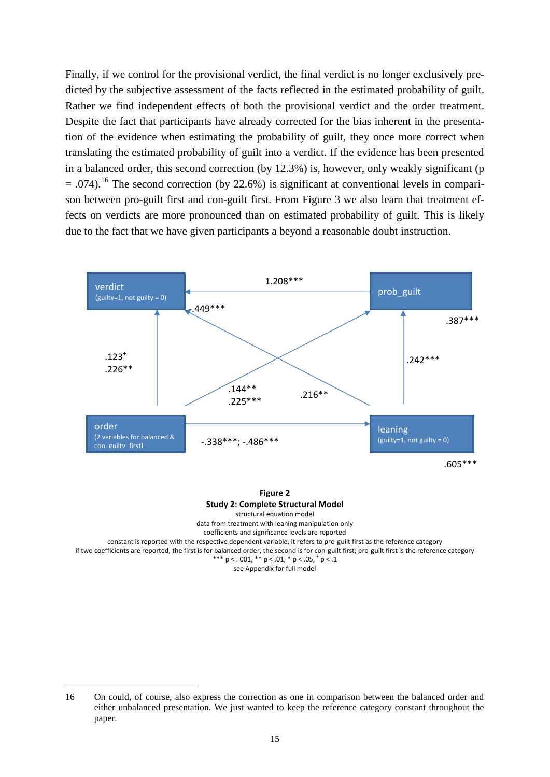Finally, if we control for the provisional verdict, the final verdict is no longer exclusively predicted by the subjective assessment of the facts reflected in the estimated probability of guilt. Rather we find independent effects of both the provisional verdict and the order treatment. Despite the fact that participants have already corrected for the bias inherent in the presentation of the evidence when estimating the probability of guilt, they once more correct when translating the estimated probability of guilt into a verdict. If the evidence has been presented in a balanced order, this second correction (by 12.3%) is, however, only weakly significant (p  $= .074$ .<sup>16</sup> The second correction (by 22.6%) is significant at conventional levels in comparison between pro-guilt first and con-guilt first. From [Figure 3](#page-17-0) we also learn that treatment effects on verdicts are more pronounced than on estimated probability of guilt. This is likely due to the fact that we have given participants a beyond a reasonable doubt instruction.



**Figure 2 Study 2: Complete Structural Model**

structural equation model data from treatment with leaning manipulation only

coefficients and significance levels are reported

constant is reported with the respective dependent variable, it refers to pro-guilt first as the reference category

<span id="page-16-0"></span>if two coefficients are reported, the first is for balanced order, the second is for con-guilt first; pro-guilt first is the reference category

\*\*\*  $p < .001$ , \*\*  $p < .01$ , \*  $p < .05$ ,  $\frac{1}{p} < .1$ 

see Appendix for full model

-

<sup>16</sup> On could, of course, also express the correction as one in comparison between the balanced order and either unbalanced presentation. We just wanted to keep the reference category constant throughout the paper.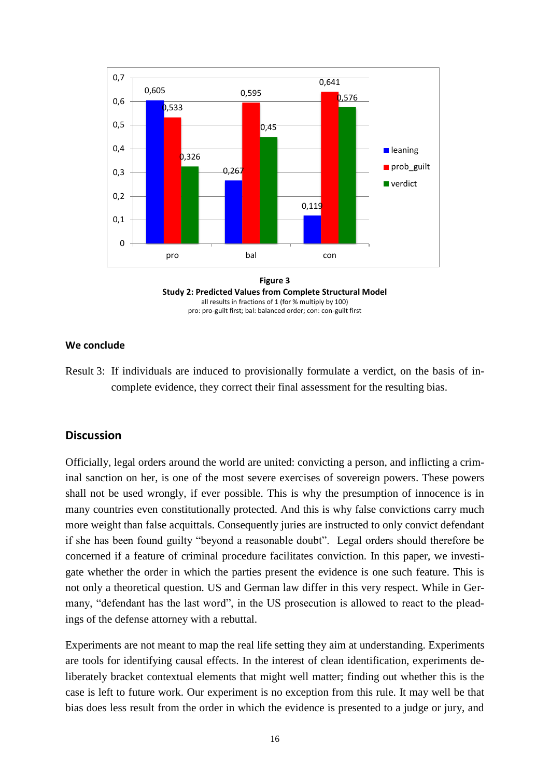



#### <span id="page-17-0"></span>**We conclude**

Result 3: If individuals are induced to provisionally formulate a verdict, on the basis of incomplete evidence, they correct their final assessment for the resulting bias.

# **Discussion**

Officially, legal orders around the world are united: convicting a person, and inflicting a criminal sanction on her, is one of the most severe exercises of sovereign powers. These powers shall not be used wrongly, if ever possible. This is why the presumption of innocence is in many countries even constitutionally protected. And this is why false convictions carry much more weight than false acquittals. Consequently juries are instructed to only convict defendant if she has been found guilty "beyond a reasonable doubt". Legal orders should therefore be concerned if a feature of criminal procedure facilitates conviction. In this paper, we investigate whether the order in which the parties present the evidence is one such feature. This is not only a theoretical question. US and German law differ in this very respect. While in Germany, "defendant has the last word", in the US prosecution is allowed to react to the pleadings of the defense attorney with a rebuttal.

Experiments are not meant to map the real life setting they aim at understanding. Experiments are tools for identifying causal effects. In the interest of clean identification, experiments deliberately bracket contextual elements that might well matter; finding out whether this is the case is left to future work. Our experiment is no exception from this rule. It may well be that bias does less result from the order in which the evidence is presented to a judge or jury, and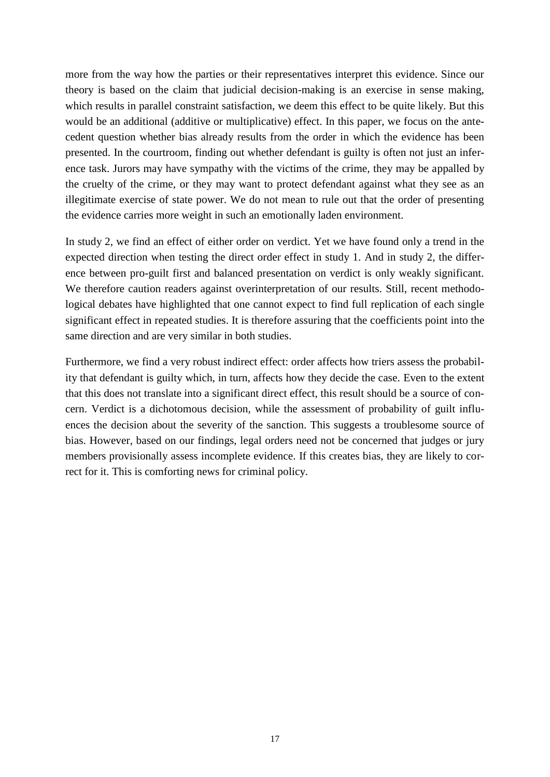more from the way how the parties or their representatives interpret this evidence. Since our theory is based on the claim that judicial decision-making is an exercise in sense making, which results in parallel constraint satisfaction, we deem this effect to be quite likely. But this would be an additional (additive or multiplicative) effect. In this paper, we focus on the antecedent question whether bias already results from the order in which the evidence has been presented. In the courtroom, finding out whether defendant is guilty is often not just an inference task. Jurors may have sympathy with the victims of the crime, they may be appalled by the cruelty of the crime, or they may want to protect defendant against what they see as an illegitimate exercise of state power. We do not mean to rule out that the order of presenting the evidence carries more weight in such an emotionally laden environment.

In study 2, we find an effect of either order on verdict. Yet we have found only a trend in the expected direction when testing the direct order effect in study 1. And in study 2, the difference between pro-guilt first and balanced presentation on verdict is only weakly significant. We therefore caution readers against overinterpretation of our results. Still, recent methodological debates have highlighted that one cannot expect to find full replication of each single significant effect in repeated studies. It is therefore assuring that the coefficients point into the same direction and are very similar in both studies.

Furthermore, we find a very robust indirect effect: order affects how triers assess the probability that defendant is guilty which, in turn, affects how they decide the case. Even to the extent that this does not translate into a significant direct effect, this result should be a source of concern. Verdict is a dichotomous decision, while the assessment of probability of guilt influences the decision about the severity of the sanction. This suggests a troublesome source of bias. However, based on our findings, legal orders need not be concerned that judges or jury members provisionally assess incomplete evidence. If this creates bias, they are likely to correct for it. This is comforting news for criminal policy.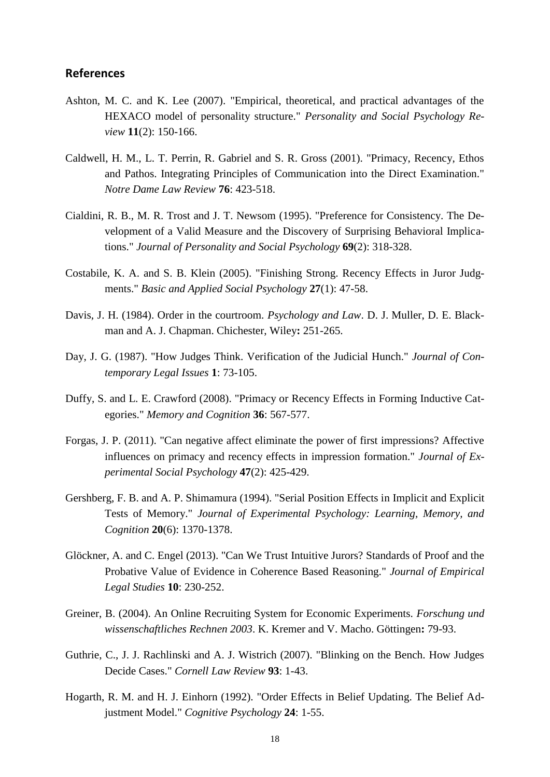# **References**

- Ashton, M. C. and K. Lee (2007). "Empirical, theoretical, and practical advantages of the HEXACO model of personality structure." *Personality and Social Psychology Review* **11**(2): 150-166.
- Caldwell, H. M., L. T. Perrin, R. Gabriel and S. R. Gross (2001). "Primacy, Recency, Ethos and Pathos. Integrating Principles of Communication into the Direct Examination." *Notre Dame Law Review* **76**: 423-518.
- Cialdini, R. B., M. R. Trost and J. T. Newsom (1995). "Preference for Consistency. The Development of a Valid Measure and the Discovery of Surprising Behavioral Implications." *Journal of Personality and Social Psychology* **69**(2): 318-328.
- Costabile, K. A. and S. B. Klein (2005). "Finishing Strong. Recency Effects in Juror Judgments." *Basic and Applied Social Psychology* **27**(1): 47-58.
- Davis, J. H. (1984). Order in the courtroom. *Psychology and Law*. D. J. Muller, D. E. Blackman and A. J. Chapman. Chichester, Wiley**:** 251-265.
- Day, J. G. (1987). "How Judges Think. Verification of the Judicial Hunch." *Journal of Contemporary Legal Issues* **1**: 73-105.
- Duffy, S. and L. E. Crawford (2008). "Primacy or Recency Effects in Forming Inductive Categories." *Memory and Cognition* **36**: 567-577.
- Forgas, J. P. (2011). "Can negative affect eliminate the power of first impressions? Affective influences on primacy and recency effects in impression formation." *Journal of Experimental Social Psychology* **47**(2): 425-429.
- Gershberg, F. B. and A. P. Shimamura (1994). "Serial Position Effects in Implicit and Explicit Tests of Memory." *Journal of Experimental Psychology: Learning, Memory, and Cognition* **20**(6): 1370-1378.
- Glöckner, A. and C. Engel (2013). "Can We Trust Intuitive Jurors? Standards of Proof and the Probative Value of Evidence in Coherence Based Reasoning." *Journal of Empirical Legal Studies* **10**: 230-252.
- Greiner, B. (2004). An Online Recruiting System for Economic Experiments. *Forschung und wissenschaftliches Rechnen 2003*. K. Kremer and V. Macho. Göttingen**:** 79-93.
- Guthrie, C., J. J. Rachlinski and A. J. Wistrich (2007). "Blinking on the Bench. How Judges Decide Cases." *Cornell Law Review* **93**: 1-43.
- Hogarth, R. M. and H. J. Einhorn (1992). "Order Effects in Belief Updating. The Belief Adjustment Model." *Cognitive Psychology* **24**: 1-55.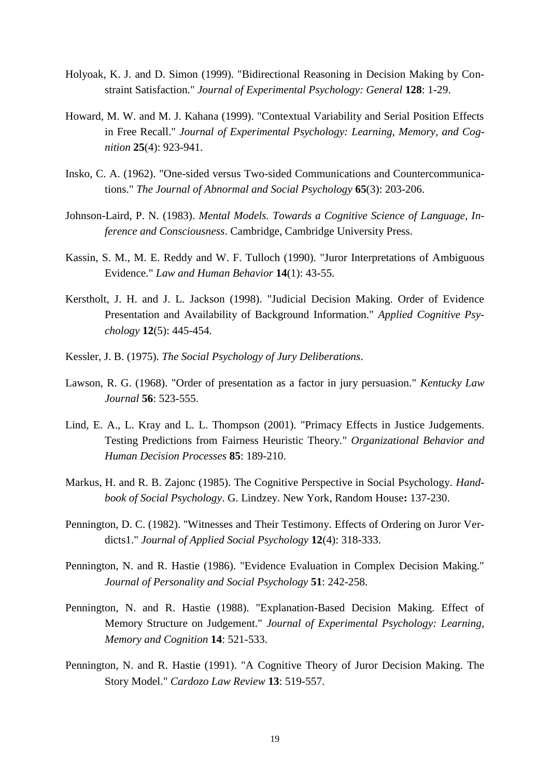- Holyoak, K. J. and D. Simon (1999). "Bidirectional Reasoning in Decision Making by Constraint Satisfaction." *Journal of Experimental Psychology: General* **128**: 1-29.
- Howard, M. W. and M. J. Kahana (1999). "Contextual Variability and Serial Position Effects in Free Recall." *Journal of Experimental Psychology: Learning, Memory, and Cognition* **25**(4): 923-941.
- Insko, C. A. (1962). "One-sided versus Two-sided Communications and Countercommunications." *The Journal of Abnormal and Social Psychology* **65**(3): 203-206.
- Johnson-Laird, P. N. (1983). *Mental Models. Towards a Cognitive Science of Language, Inference and Consciousness*. Cambridge, Cambridge University Press.
- Kassin, S. M., M. E. Reddy and W. F. Tulloch (1990). "Juror Interpretations of Ambiguous Evidence." *Law and Human Behavior* **14**(1): 43-55.
- Kerstholt, J. H. and J. L. Jackson (1998). "Judicial Decision Making. Order of Evidence Presentation and Availability of Background Information." *Applied Cognitive Psychology* **12**(5): 445-454.
- Kessler, J. B. (1975). *The Social Psychology of Jury Deliberations*.
- Lawson, R. G. (1968). "Order of presentation as a factor in jury persuasion." *Kentucky Law Journal* **56**: 523-555.
- Lind, E. A., L. Kray and L. L. Thompson (2001). "Primacy Effects in Justice Judgements. Testing Predictions from Fairness Heuristic Theory." *Organizational Behavior and Human Decision Processes* **85**: 189-210.
- Markus, H. and R. B. Zajonc (1985). The Cognitive Perspective in Social Psychology. *Handbook of Social Psychology*. G. Lindzey. New York, Random House**:** 137-230.
- Pennington, D. C. (1982). "Witnesses and Their Testimony. Effects of Ordering on Juror Verdicts1." *Journal of Applied Social Psychology* **12**(4): 318-333.
- Pennington, N. and R. Hastie (1986). "Evidence Evaluation in Complex Decision Making." *Journal of Personality and Social Psychology* **51**: 242-258.
- Pennington, N. and R. Hastie (1988). "Explanation-Based Decision Making. Effect of Memory Structure on Judgement." *Journal of Experimental Psychology: Learning, Memory and Cognition* **14**: 521-533.
- Pennington, N. and R. Hastie (1991). "A Cognitive Theory of Juror Decision Making. The Story Model." *Cardozo Law Review* **13**: 519-557.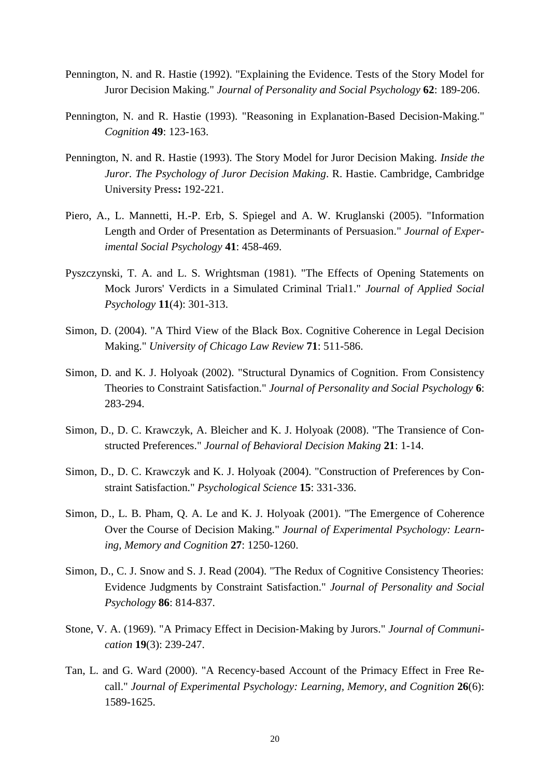- Pennington, N. and R. Hastie (1992). "Explaining the Evidence. Tests of the Story Model for Juror Decision Making." *Journal of Personality and Social Psychology* **62**: 189-206.
- Pennington, N. and R. Hastie (1993). "Reasoning in Explanation-Based Decision-Making." *Cognition* **49**: 123-163.
- Pennington, N. and R. Hastie (1993). The Story Model for Juror Decision Making. *Inside the Juror. The Psychology of Juror Decision Making*. R. Hastie. Cambridge, Cambridge University Press**:** 192-221.
- Piero, A., L. Mannetti, H.-P. Erb, S. Spiegel and A. W. Kruglanski (2005). "Information Length and Order of Presentation as Determinants of Persuasion." *Journal of Experimental Social Psychology* **41**: 458-469.
- Pyszczynski, T. A. and L. S. Wrightsman (1981). "The Effects of Opening Statements on Mock Jurors' Verdicts in a Simulated Criminal Trial1." *Journal of Applied Social Psychology* **11**(4): 301-313.
- Simon, D. (2004). "A Third View of the Black Box. Cognitive Coherence in Legal Decision Making." *University of Chicago Law Review* **71**: 511-586.
- Simon, D. and K. J. Holyoak (2002). "Structural Dynamics of Cognition. From Consistency Theories to Constraint Satisfaction." *Journal of Personality and Social Psychology* **6**: 283-294.
- Simon, D., D. C. Krawczyk, A. Bleicher and K. J. Holyoak (2008). "The Transience of Constructed Preferences." *Journal of Behavioral Decision Making* **21**: 1-14.
- Simon, D., D. C. Krawczyk and K. J. Holyoak (2004). "Construction of Preferences by Constraint Satisfaction." *Psychological Science* **15**: 331-336.
- Simon, D., L. B. Pham, Q. A. Le and K. J. Holyoak (2001). "The Emergence of Coherence Over the Course of Decision Making." *Journal of Experimental Psychology: Learning, Memory and Cognition* **27**: 1250-1260.
- Simon, D., C. J. Snow and S. J. Read (2004). "The Redux of Cognitive Consistency Theories: Evidence Judgments by Constraint Satisfaction." *Journal of Personality and Social Psychology* **86**: 814-837.
- Stone, V. A. (1969). "A Primacy Effect in Decision‐Making by Jurors." *Journal of Communication* **19**(3): 239-247.
- Tan, L. and G. Ward (2000). "A Recency-based Account of the Primacy Effect in Free Recall." *Journal of Experimental Psychology: Learning, Memory, and Cognition* **26**(6): 1589-1625.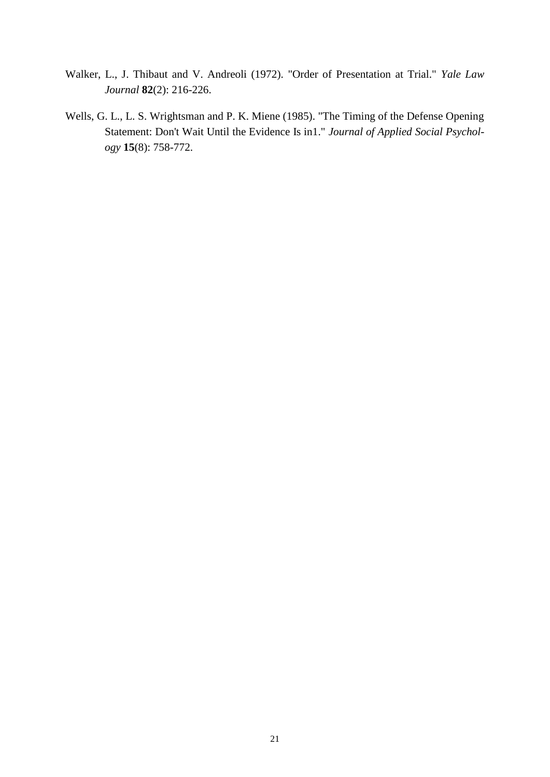- Walker, L., J. Thibaut and V. Andreoli (1972). "Order of Presentation at Trial." *Yale Law Journal* **82**(2): 216-226.
- Wells, G. L., L. S. Wrightsman and P. K. Miene (1985). "The Timing of the Defense Opening Statement: Don't Wait Until the Evidence Is in1." *Journal of Applied Social Psychology* **15**(8): 758-772.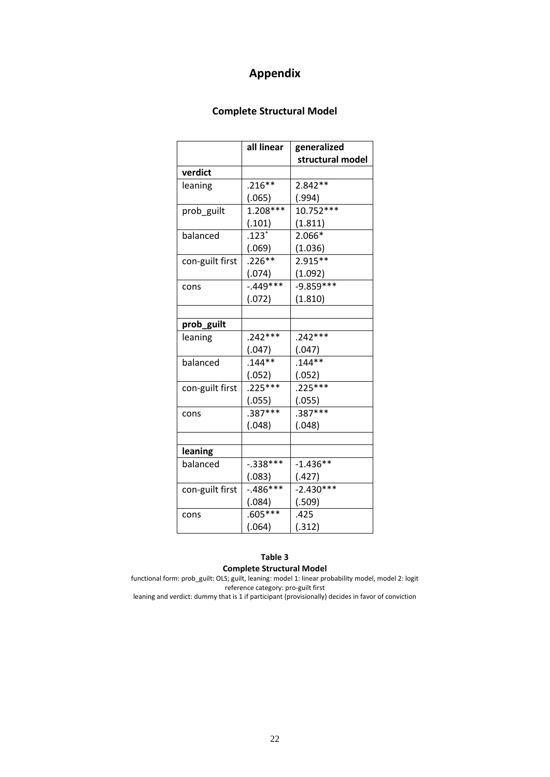# **Appendix**

# **Complete Structural Model**

|                 | all linear  | generalized      |
|-----------------|-------------|------------------|
|                 |             | structural model |
| verdict         |             |                  |
| leaning         | $.216**$    | 2.842**          |
|                 | (.065)      | (.994)           |
| prob_guilt      | $1.208***$  | $10.752***$      |
|                 | (.101)      | (1.811)          |
| balanced        | $.123+$     | 2.066*           |
|                 | (.069)      | (1.036)          |
| con-guilt first | $.226**$    | $2.915**$        |
|                 | (.074)      | (1.092)          |
| cons            | $-0.449***$ | $-9.859***$      |
|                 | (.072)      | (1.810)          |
|                 |             |                  |
| prob_guilt      |             |                  |
| leaning         | $.242***$   | $.242***$        |
|                 | (.047)      | (.047)           |
| balanced        | $.144**$    | $.144**$         |
|                 | (.052)      | (.052)           |
| con-guilt first | $.225***$   | $.225***$        |
|                 | (.055)      | (.055)           |
| cons            | $.387***$   | $.387***$        |
|                 | (.048)      | (.048)           |
|                 |             |                  |
| leaning         |             |                  |
| balanced        | $-.338***$  | $-1.436**$       |
|                 | (.083)      | (.427)           |
| con-guilt first | $-0.486***$ | $-2.430***$      |
|                 | (.084)      | (.509)           |
| cons            | $.605***$   | .425             |
|                 | (.064)      | (.312)           |

#### **Table 3 Complete Structural Model**

functional form: prob\_guilt: OLS; guilt, leaning: model 1: linear probability model, model 2: logit reference category: pro-guilt first leaning and verdict: dummy that is 1 if participant (provisionally) decides in favor of conviction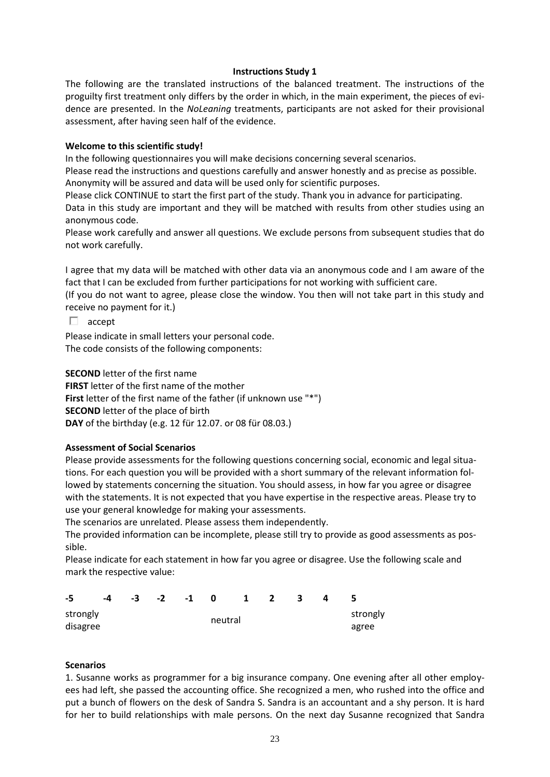## **Instructions Study 1**

The following are the translated instructions of the balanced treatment. The instructions of the proguilty first treatment only differs by the order in which, in the main experiment, the pieces of evidence are presented. In the *NoLeaning* treatments, participants are not asked for their provisional assessment, after having seen half of the evidence.

## **Welcome to this scientific study!**

In the following questionnaires you will make decisions concerning several scenarios.

Please read the instructions and questions carefully and answer honestly and as precise as possible. Anonymity will be assured and data will be used only for scientific purposes.

Please click CONTINUE to start the first part of the study. Thank you in advance for participating.

Data in this study are important and they will be matched with results from other studies using an anonymous code.

Please work carefully and answer all questions. We exclude persons from subsequent studies that do not work carefully.

I agree that my data will be matched with other data via an anonymous code and I am aware of the fact that I can be excluded from further participations for not working with sufficient care.

(If you do not want to agree, please close the window. You then will not take part in this study and receive no payment for it.)

□ accept

Please indicate in small letters your personal code. The code consists of the following components:

**SECOND** letter of the first name

**FIRST** letter of the first name of the mother **First** letter of the first name of the father (if unknown use "\*") **SECOND** letter of the place of birth **DAY** of the birthday (e.g. 12 für 12.07. or 08 für 08.03.)

# **Assessment of Social Scenarios**

Please provide assessments for the following questions concerning social, economic and legal situations. For each question you will be provided with a short summary of the relevant information followed by statements concerning the situation. You should assess, in how far you agree or disagree with the statements. It is not expected that you have expertise in the respective areas. Please try to use your general knowledge for making your assessments.

The scenarios are unrelated. Please assess them independently.

The provided information can be incomplete, please still try to provide as good assessments as possible.

Please indicate for each statement in how far you agree or disagree. Use the following scale and mark the respective value:

| -5       | -4      |  | $-3$ $-2$ $-1$ |  | - 0 | $\mathbf{1}$ | $\overline{\mathbf{2}}$ | - 3 |          |
|----------|---------|--|----------------|--|-----|--------------|-------------------------|-----|----------|
| strongly | neutral |  |                |  |     |              |                         |     | strongly |
| disagree |         |  |                |  |     |              |                         |     | agree    |

#### **Scenarios**

1. Susanne works as programmer for a big insurance company. One evening after all other employees had left, she passed the accounting office. She recognized a men, who rushed into the office and put a bunch of flowers on the desk of Sandra S. Sandra is an accountant and a shy person. It is hard for her to build relationships with male persons. On the next day Susanne recognized that Sandra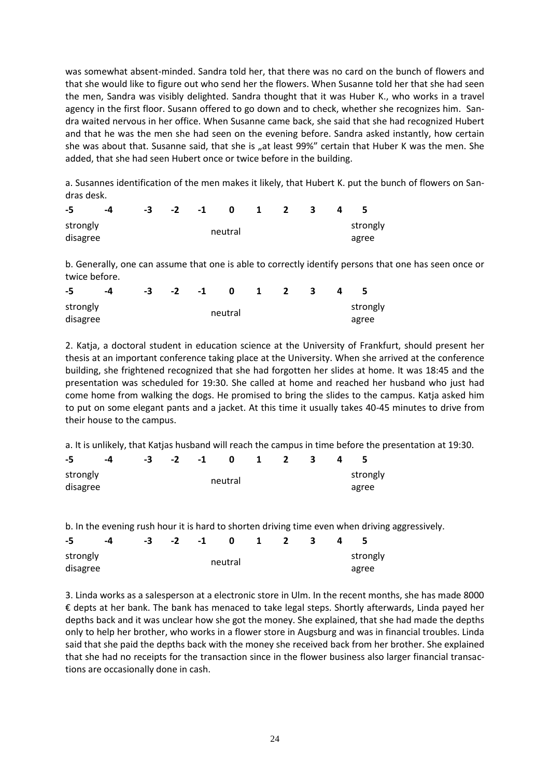was somewhat absent-minded. Sandra told her, that there was no card on the bunch of flowers and that she would like to figure out who send her the flowers. When Susanne told her that she had seen the men, Sandra was visibly delighted. Sandra thought that it was Huber K., who works in a travel agency in the first floor. Susann offered to go down and to check, whether she recognizes him. Sandra waited nervous in her office. When Susanne came back, she said that she had recognized Hubert and that he was the men she had seen on the evening before. Sandra asked instantly, how certain she was about that. Susanne said, that she is "at least 99%" certain that Huber K was the men. She added, that she had seen Hubert once or twice before in the building.

a. Susannes identification of the men makes it likely, that Hubert K. put the bunch of flowers on Sandras desk.

| -5                   | -4 | $-3$ | $-2$ | $-1$ | 0       | 1 2 | - 3 | -4 |                   |
|----------------------|----|------|------|------|---------|-----|-----|----|-------------------|
| strongly<br>disagree |    |      |      |      | neutral |     |     |    | strongly<br>agree |

b. Generally, one can assume that one is able to correctly identify persons that one has seen once or twice before.

| -5                   | -4 | -3 | $-2$ | $-1$ | 0       | $\mathbf{1}$ | $\overline{\mathbf{2}}$ | - 3 | -5                |
|----------------------|----|----|------|------|---------|--------------|-------------------------|-----|-------------------|
| strongly<br>disagree |    |    |      |      | neutral |              |                         |     | strongly<br>agree |

2. Katja, a doctoral student in education science at the University of Frankfurt, should present her thesis at an important conference taking place at the University. When she arrived at the conference building, she frightened recognized that she had forgotten her slides at home. It was 18:45 and the presentation was scheduled for 19:30. She called at home and reached her husband who just had come home from walking the dogs. He promised to bring the slides to the campus. Katja asked him to put on some elegant pants and a jacket. At this time it usually takes 40-45 minutes to drive from their house to the campus.

a. It is unlikely, that Katjas husband will reach the campus in time before the presentation at 19:30.

| -5                  | -4 | -3 | $-2$ | $-1$ | 0 |  | 1 2 | - 3 |  |          |  |
|---------------------|----|----|------|------|---|--|-----|-----|--|----------|--|
| strongly<br>neutral |    |    |      |      |   |  |     |     |  | strongly |  |
| disagree            |    |    |      |      |   |  |     |     |  | agree    |  |

b. In the evening rush hour it is hard to shorten driving time even when driving aggressively.

| -5                  | -4 | -3. | $-2$ | $-1$ |  |  |  |  |  |          |
|---------------------|----|-----|------|------|--|--|--|--|--|----------|
| strongly<br>neutral |    |     |      |      |  |  |  |  |  | strongly |
| disagree            |    |     |      |      |  |  |  |  |  | agree    |

3. Linda works as a salesperson at a electronic store in Ulm. In the recent months, she has made 8000 € depts at her bank. The bank has menaced to take legal steps. Shortly afterwards, Linda payed her depths back and it was unclear how she got the money. She explained, that she had made the depths only to help her brother, who works in a flower store in Augsburg and was in financial troubles. Linda said that she paid the depths back with the money she received back from her brother. She explained that she had no receipts for the transaction since in the flower business also larger financial transactions are occasionally done in cash.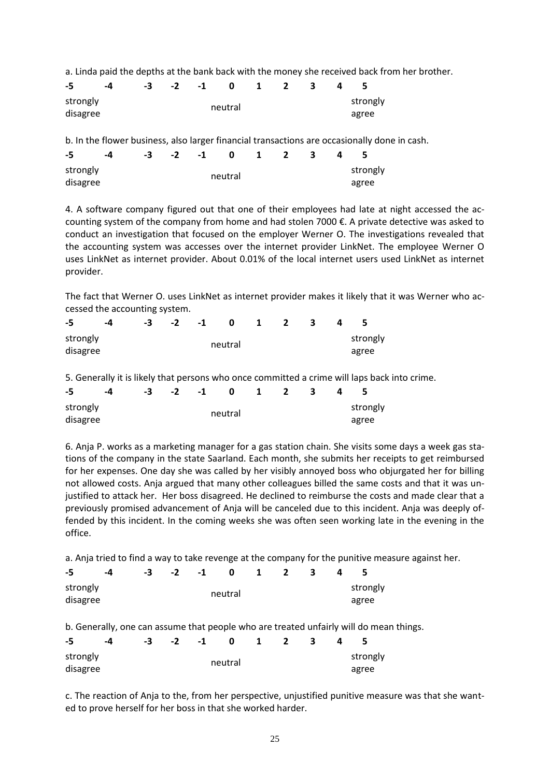a. Linda paid the depths at the bank back with the money she received back from her brother.

| -5                  | -4 | -3 | $-2$ | $-1$ |  |  |  |  |  |          |  |
|---------------------|----|----|------|------|--|--|--|--|--|----------|--|
| strongly<br>neutral |    |    |      |      |  |  |  |  |  | strongly |  |
| disagree            |    |    |      |      |  |  |  |  |  | agree    |  |

b. In the flower business, also larger financial transactions are occasionally done in cash.

| -5                  | -4 | $-3$ | $-2$ | $-1$ | <b>O</b> | 1 2 |  | $\overline{\mathbf{3}}$ |  |          |
|---------------------|----|------|------|------|----------|-----|--|-------------------------|--|----------|
| strongly<br>neutral |    |      |      |      |          |     |  |                         |  | strongly |
| disagree            |    |      |      |      |          |     |  |                         |  | agree    |

4. A software company figured out that one of their employees had late at night accessed the accounting system of the company from home and had stolen 7000  $\epsilon$ . A private detective was asked to conduct an investigation that focused on the employer Werner O. The investigations revealed that the accounting system was accesses over the internet provider LinkNet. The employee Werner O uses LinkNet as internet provider. About 0.01% of the local internet users used LinkNet as internet provider.

The fact that Werner O. uses LinkNet as internet provider makes it likely that it was Werner who accessed the accounting system.

| -5                   | -4 | -3 | $-2$ | $-1$    | 0 | 1 | $\mathbf{2}$ |  |                   |
|----------------------|----|----|------|---------|---|---|--------------|--|-------------------|
| strongly<br>disagree |    |    |      | neutral |   |   |              |  | strongly<br>agree |

5. Generally it is likely that persons who once committed a crime will laps back into crime.

| -5                   | -4 | -3 | $-2$ | $-1$ | 0       | $\overline{2}$ |  |                   |
|----------------------|----|----|------|------|---------|----------------|--|-------------------|
| strongly<br>disagree |    |    |      |      | neutral |                |  | strongly<br>agree |

6. Anja P. works as a marketing manager for a gas station chain. She visits some days a week gas stations of the company in the state Saarland. Each month, she submits her receipts to get reimbursed for her expenses. One day she was called by her visibly annoyed boss who objurgated her for billing not allowed costs. Anja argued that many other colleagues billed the same costs and that it was unjustified to attack her. Her boss disagreed. He declined to reimburse the costs and made clear that a previously promised advancement of Anja will be canceled due to this incident. Anja was deeply offended by this incident. In the coming weeks she was often seen working late in the evening in the office.

a. Anja tried to find a way to take revenge at the company for the punitive measure against her.

| -5       | -4 | -3 | $-2$ | $-1$ |         |  |  |  |          |
|----------|----|----|------|------|---------|--|--|--|----------|
| strongly |    |    |      |      | neutral |  |  |  | strongly |
| disagree |    |    |      |      |         |  |  |  | agree    |

b. Generally, one can assume that people who are treated unfairly will do mean things.

| -5       | -4 | -3. | $-2$ | $-1$ | 0       |  |          |  |       |  |
|----------|----|-----|------|------|---------|--|----------|--|-------|--|
| strongly |    |     |      |      | neutral |  | strongly |  |       |  |
| disagree |    |     |      |      |         |  |          |  | agree |  |

c. The reaction of Anja to the, from her perspective, unjustified punitive measure was that she wanted to prove herself for her boss in that she worked harder.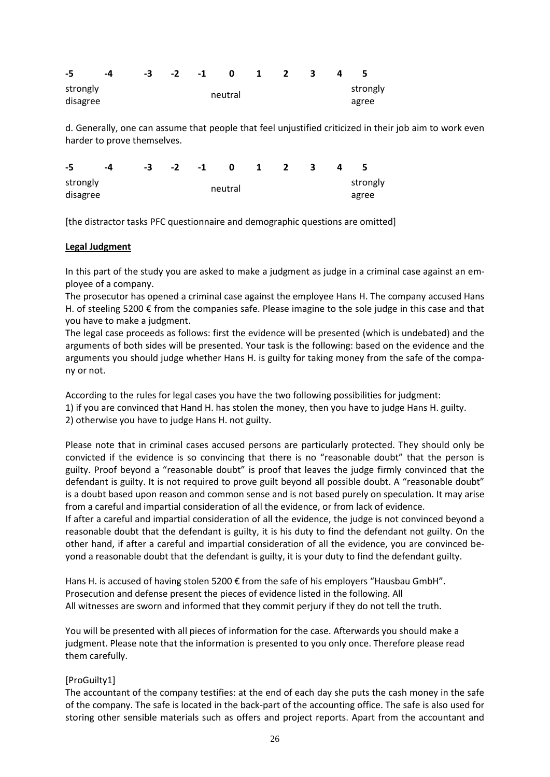| -5       | -4 | -3 | $-2$    | $-1$ | 0        | $\overline{\mathbf{1}}$ | $\overline{2}$ |  |       |
|----------|----|----|---------|------|----------|-------------------------|----------------|--|-------|
| strongly |    |    | neutral |      | strongly |                         |                |  |       |
| disagree |    |    |         |      |          |                         |                |  | agree |

d. Generally, one can assume that people that feel unjustified criticized in their job aim to work even harder to prove themselves.

| -5       | -4      | -3 | $-2$ | $-1$ | 0        | $\mathbf{1}$ | $\overline{\mathbf{2}}$ |  |       |
|----------|---------|----|------|------|----------|--------------|-------------------------|--|-------|
| strongly | neutral |    |      |      | strongly |              |                         |  |       |
| disagree |         |    |      |      |          |              |                         |  | agree |

[the distractor tasks PFC questionnaire and demographic questions are omitted]

## **Legal Judgment**

In this part of the study you are asked to make a judgment as judge in a criminal case against an employee of a company.

The prosecutor has opened a criminal case against the employee Hans H. The company accused Hans H. of steeling 5200  $\epsilon$  from the companies safe. Please imagine to the sole judge in this case and that you have to make a judgment.

The legal case proceeds as follows: first the evidence will be presented (which is undebated) and the arguments of both sides will be presented. Your task is the following: based on the evidence and the arguments you should judge whether Hans H. is guilty for taking money from the safe of the company or not.

According to the rules for legal cases you have the two following possibilities for judgment:

1) if you are convinced that Hand H. has stolen the money, then you have to judge Hans H. guilty.

2) otherwise you have to judge Hans H. not guilty.

Please note that in criminal cases accused persons are particularly protected. They should only be convicted if the evidence is so convincing that there is no "reasonable doubt" that the person is guilty. Proof beyond a "reasonable doubt" is proof that leaves the judge firmly convinced that the defendant is guilty. It is not required to prove guilt beyond all possible doubt. A "reasonable doubt" is a doubt based upon reason and common sense and is not based purely on speculation. It may arise from a careful and impartial consideration of all the evidence, or from lack of evidence.

If after a careful and impartial consideration of all the evidence, the judge is not convinced beyond a reasonable doubt that the defendant is guilty, it is his duty to find the defendant not guilty. On the other hand, if after a careful and impartial consideration of all the evidence, you are convinced beyond a reasonable doubt that the defendant is guilty, it is your duty to find the defendant guilty.

Hans H. is accused of having stolen 5200  $\epsilon$  from the safe of his employers "Hausbau GmbH". Prosecution and defense present the pieces of evidence listed in the following. All All witnesses are sworn and informed that they commit perjury if they do not tell the truth.

You will be presented with all pieces of information for the case. Afterwards you should make a judgment. Please note that the information is presented to you only once. Therefore please read them carefully.

# [ProGuilty1]

The accountant of the company testifies: at the end of each day she puts the cash money in the safe of the company. The safe is located in the back-part of the accounting office. The safe is also used for storing other sensible materials such as offers and project reports. Apart from the accountant and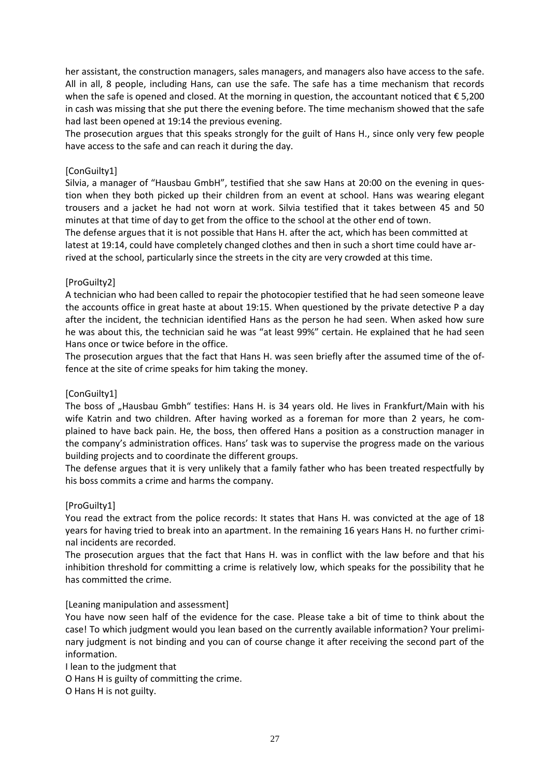her assistant, the construction managers, sales managers, and managers also have access to the safe. All in all, 8 people, including Hans, can use the safe. The safe has a time mechanism that records when the safe is opened and closed. At the morning in question, the accountant noticed that € 5,200 in cash was missing that she put there the evening before. The time mechanism showed that the safe had last been opened at 19:14 the previous evening.

The prosecution argues that this speaks strongly for the guilt of Hans H., since only very few people have access to the safe and can reach it during the day.

## [ConGuilty1]

Silvia, a manager of "Hausbau GmbH", testified that she saw Hans at 20:00 on the evening in question when they both picked up their children from an event at school. Hans was wearing elegant trousers and a jacket he had not worn at work. Silvia testified that it takes between 45 and 50 minutes at that time of day to get from the office to the school at the other end of town.

The defense argues that it is not possible that Hans H. after the act, which has been committed at latest at 19:14, could have completely changed clothes and then in such a short time could have arrived at the school, particularly since the streets in the city are very crowded at this time.

#### [ProGuilty2]

A technician who had been called to repair the photocopier testified that he had seen someone leave the accounts office in great haste at about 19:15. When questioned by the private detective P a day after the incident, the technician identified Hans as the person he had seen. When asked how sure he was about this, the technician said he was "at least 99%" certain. He explained that he had seen Hans once or twice before in the office.

The prosecution argues that the fact that Hans H. was seen briefly after the assumed time of the offence at the site of crime speaks for him taking the money.

#### [ConGuilty1]

The boss of "Hausbau Gmbh" testifies: Hans H. is 34 years old. He lives in Frankfurt/Main with his wife Katrin and two children. After having worked as a foreman for more than 2 years, he complained to have back pain. He, the boss, then offered Hans a position as a construction manager in the company's administration offices. Hans' task was to supervise the progress made on the various building projects and to coordinate the different groups.

The defense argues that it is very unlikely that a family father who has been treated respectfully by his boss commits a crime and harms the company.

#### [ProGuilty1]

You read the extract from the police records: It states that Hans H. was convicted at the age of 18 years for having tried to break into an apartment. In the remaining 16 years Hans H. no further criminal incidents are recorded.

The prosecution argues that the fact that Hans H. was in conflict with the law before and that his inhibition threshold for committing a crime is relatively low, which speaks for the possibility that he has committed the crime.

[Leaning manipulation and assessment]

You have now seen half of the evidence for the case. Please take a bit of time to think about the case! To which judgment would you lean based on the currently available information? Your preliminary judgment is not binding and you can of course change it after receiving the second part of the information.

I lean to the judgment that

O Hans H is guilty of committing the crime.

O Hans H is not guilty.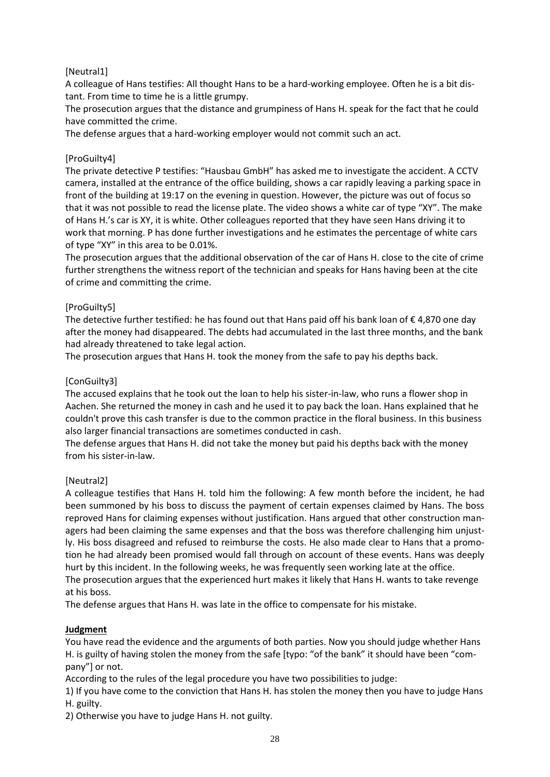# [Neutral1]

A colleague of Hans testifies: All thought Hans to be a hard-working employee. Often he is a bit distant. From time to time he is a little grumpy.

The prosecution argues that the distance and grumpiness of Hans H. speak for the fact that he could have committed the crime.

The defense argues that a hard-working employer would not commit such an act.

# [ProGuilty4]

The private detective P testifies: "Hausbau GmbH" has asked me to investigate the accident. A CCTV camera, installed at the entrance of the office building, shows a car rapidly leaving a parking space in front of the building at 19:17 on the evening in question. However, the picture was out of focus so that it was not possible to read the license plate. The video shows a white car of type "XY". The make of Hans H.'s car is XY, it is white. Other colleagues reported that they have seen Hans driving it to work that morning. P has done further investigations and he estimates the percentage of white cars of type "XY" in this area to be 0.01%.

The prosecution argues that the additional observation of the car of Hans H. close to the cite of crime further strengthens the witness report of the technician and speaks for Hans having been at the cite of crime and committing the crime.

# [ProGuilty5]

The detective further testified: he has found out that Hans paid off his bank loan of € 4,870 one day after the money had disappeared. The debts had accumulated in the last three months, and the bank had already threatened to take legal action.

The prosecution argues that Hans H. took the money from the safe to pay his depths back.

# [ConGuilty3]

The accused explains that he took out the loan to help his sister-in-law, who runs a flower shop in Aachen. She returned the money in cash and he used it to pay back the loan. Hans explained that he couldn't prove this cash transfer is due to the common practice in the floral business. In this business also larger financial transactions are sometimes conducted in cash.

The defense argues that Hans H. did not take the money but paid his depths back with the money from his sister-in-law.

# [Neutral2]

A colleague testifies that Hans H. told him the following: A few month before the incident, he had been summoned by his boss to discuss the payment of certain expenses claimed by Hans. The boss reproved Hans for claiming expenses without justification. Hans argued that other construction managers had been claiming the same expenses and that the boss was therefore challenging him unjustly. His boss disagreed and refused to reimburse the costs. He also made clear to Hans that a promotion he had already been promised would fall through on account of these events. Hans was deeply hurt by this incident. In the following weeks, he was frequently seen working late at the office. The prosecution argues that the experienced hurt makes it likely that Hans H. wants to take revenge at his boss.

The defense argues that Hans H. was late in the office to compensate for his mistake.

# **Judgment**

You have read the evidence and the arguments of both parties. Now you should judge whether Hans H. is guilty of having stolen the money from the safe [typo: "of the bank" it should have been "company"] or not.

According to the rules of the legal procedure you have two possibilities to judge:

1) If you have come to the conviction that Hans H. has stolen the money then you have to judge Hans H. guilty.

2) Otherwise you have to judge Hans H. not guilty.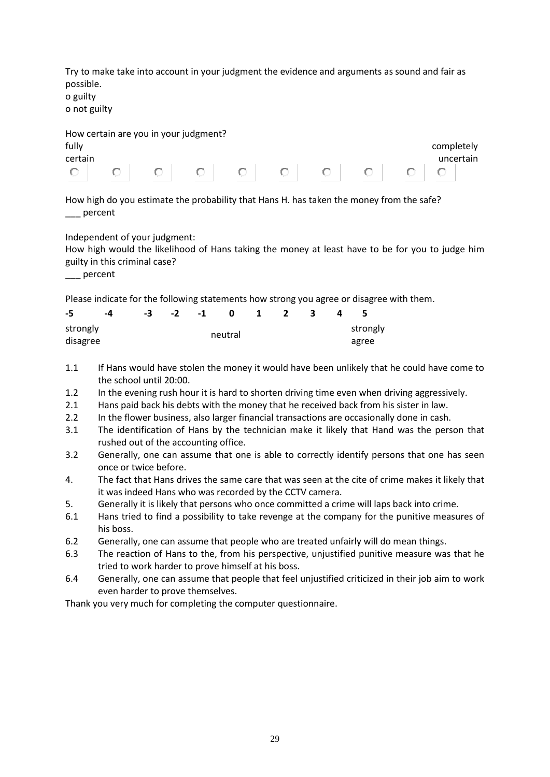Try to make take into account in your judgment the evidence and arguments as sound and fair as possible.

o guilty o not guilty

|                  | How certain are you in your judgment? |     |       |     |  |                         |
|------------------|---------------------------------------|-----|-------|-----|--|-------------------------|
| fully<br>certain |                                       |     |       |     |  | completely<br>uncertain |
|                  |                                       | - 0 | - 0 - | C). |  |                         |

How high do you estimate the probability that Hans H. has taken the money from the safe? \_\_\_ percent

Independent of your judgment:

How high would the likelihood of Hans taking the money at least have to be for you to judge him guilty in this criminal case?

\_\_\_ percent

Please indicate for the following statements how strong you agree or disagree with them.

| -5       | -4 | $-3$ | $-2$ | $-1$ | - 0     | $\overline{\mathbf{1}}$ | $\overline{\mathbf{2}}$ | -3    |          |  |
|----------|----|------|------|------|---------|-------------------------|-------------------------|-------|----------|--|
| strongly |    |      |      |      | neutral |                         |                         |       | strongly |  |
| disagree |    |      |      |      |         |                         |                         | agree |          |  |

- 1.1 If Hans would have stolen the money it would have been unlikely that he could have come to the school until 20:00.
- 1.2 In the evening rush hour it is hard to shorten driving time even when driving aggressively.
- 2.1 Hans paid back his debts with the money that he received back from his sister in law.
- 2.2 In the flower business, also larger financial transactions are occasionally done in cash.
- 3.1 The identification of Hans by the technician make it likely that Hand was the person that rushed out of the accounting office.
- 3.2 Generally, one can assume that one is able to correctly identify persons that one has seen once or twice before.
- 4. The fact that Hans drives the same care that was seen at the cite of crime makes it likely that it was indeed Hans who was recorded by the CCTV camera.
- 5. Generally it is likely that persons who once committed a crime will laps back into crime.
- 6.1 Hans tried to find a possibility to take revenge at the company for the punitive measures of his boss.
- 6.2 Generally, one can assume that people who are treated unfairly will do mean things.
- 6.3 The reaction of Hans to the, from his perspective, unjustified punitive measure was that he tried to work harder to prove himself at his boss.
- 6.4 Generally, one can assume that people that feel unjustified criticized in their job aim to work even harder to prove themselves.

Thank you very much for completing the computer questionnaire.